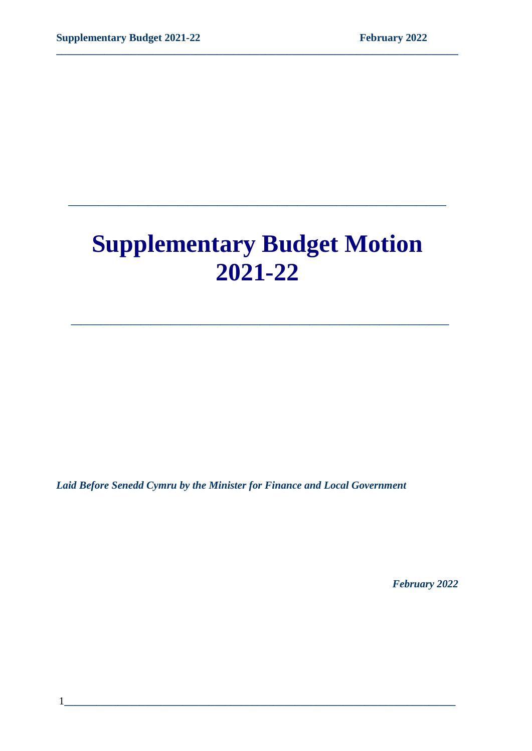# **Supplementary Budget Motion 2021-22**

 **\_\_\_\_\_\_\_\_\_\_\_\_\_\_\_\_\_\_\_\_\_\_\_\_\_\_\_\_\_\_\_\_\_\_\_\_\_\_**

**\_\_\_\_\_\_\_\_\_\_\_\_\_\_\_\_\_\_\_\_\_\_\_\_\_\_\_\_\_\_\_\_\_\_\_\_\_\_**

**\_\_\_\_\_\_\_\_\_\_\_\_\_\_\_\_\_\_\_\_\_\_\_\_\_\_\_\_\_\_\_\_\_\_\_\_\_\_\_\_\_\_\_\_\_\_\_\_\_\_\_\_\_\_\_\_\_\_\_\_\_\_\_\_\_\_\_\_\_\_\_\_\_\_\_**

*Laid Before Senedd Cymru by the Minister for Finance and Local Government*

 *February 2022*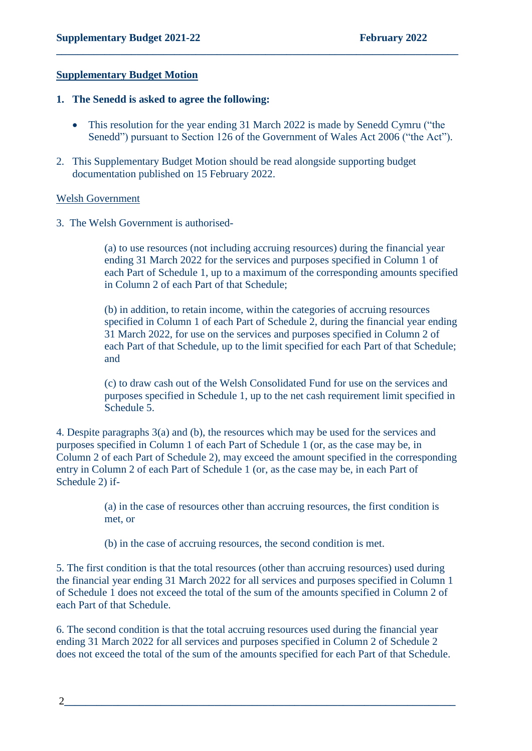#### **Supplementary Budget Motion**

#### **1. The Senedd is asked to agree the following:**

• This resolution for the year ending 31 March 2022 is made by Senedd Cymru ("the Senedd") pursuant to Section 126 of the Government of Wales Act 2006 ("the Act").

**\_\_\_\_\_\_\_\_\_\_\_\_\_\_\_\_\_\_\_\_\_\_\_\_\_\_\_\_\_\_\_\_\_\_\_\_\_\_\_\_\_\_\_\_\_\_\_\_\_\_\_\_\_\_\_\_\_\_\_\_\_\_\_\_\_\_\_\_\_\_\_\_\_\_\_**

2. This Supplementary Budget Motion should be read alongside supporting budget documentation published on 15 February 2022.

#### Welsh Government

3. The Welsh Government is authorised-

(a) to use resources (not including accruing resources) during the financial year ending 31 March 2022 for the services and purposes specified in Column 1 of each Part of Schedule 1, up to a maximum of the corresponding amounts specified in Column 2 of each Part of that Schedule;

(b) in addition, to retain income, within the categories of accruing resources specified in Column 1 of each Part of Schedule 2, during the financial year ending 31 March 2022, for use on the services and purposes specified in Column 2 of each Part of that Schedule, up to the limit specified for each Part of that Schedule; and

(c) to draw cash out of the Welsh Consolidated Fund for use on the services and purposes specified in Schedule 1, up to the net cash requirement limit specified in Schedule 5.

4. Despite paragraphs 3(a) and (b), the resources which may be used for the services and purposes specified in Column 1 of each Part of Schedule 1 (or, as the case may be, in Column 2 of each Part of Schedule 2), may exceed the amount specified in the corresponding entry in Column 2 of each Part of Schedule 1 (or, as the case may be, in each Part of Schedule 2) if-

> (a) in the case of resources other than accruing resources, the first condition is met, or

(b) in the case of accruing resources, the second condition is met.

5. The first condition is that the total resources (other than accruing resources) used during the financial year ending 31 March 2022 for all services and purposes specified in Column 1 of Schedule 1 does not exceed the total of the sum of the amounts specified in Column 2 of each Part of that Schedule.

6. The second condition is that the total accruing resources used during the financial year ending 31 March 2022 for all services and purposes specified in Column 2 of Schedule 2 does not exceed the total of the sum of the amounts specified for each Part of that Schedule.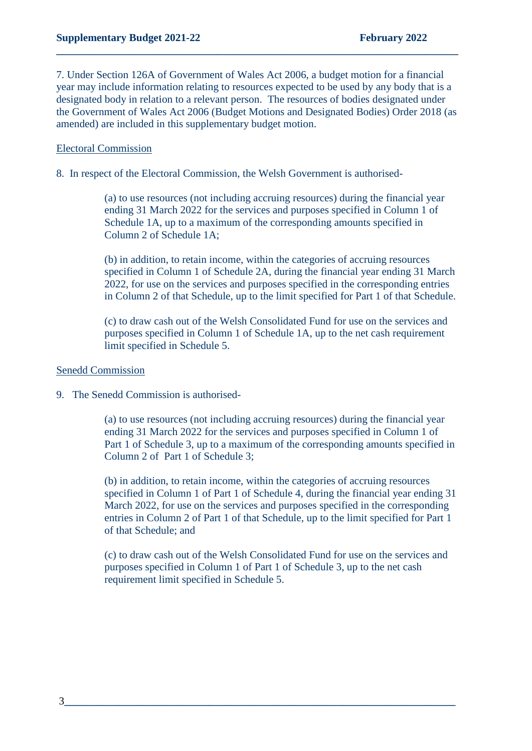7. Under Section 126A of Government of Wales Act 2006, a budget motion for a financial year may include information relating to resources expected to be used by any body that is a designated body in relation to a relevant person. The resources of bodies designated under the Government of Wales Act 2006 (Budget Motions and Designated Bodies) Order 2018 (as amended) are included in this supplementary budget motion.

**\_\_\_\_\_\_\_\_\_\_\_\_\_\_\_\_\_\_\_\_\_\_\_\_\_\_\_\_\_\_\_\_\_\_\_\_\_\_\_\_\_\_\_\_\_\_\_\_\_\_\_\_\_\_\_\_\_\_\_\_\_\_\_\_\_\_\_\_\_\_\_\_\_\_\_**

#### Electoral Commission

8. In respect of the Electoral Commission, the Welsh Government is authorised-

(a) to use resources (not including accruing resources) during the financial year ending 31 March 2022 for the services and purposes specified in Column 1 of Schedule 1A, up to a maximum of the corresponding amounts specified in Column 2 of Schedule 1A;

(b) in addition, to retain income, within the categories of accruing resources specified in Column 1 of Schedule 2A, during the financial year ending 31 March 2022, for use on the services and purposes specified in the corresponding entries in Column 2 of that Schedule, up to the limit specified for Part 1 of that Schedule.

(c) to draw cash out of the Welsh Consolidated Fund for use on the services and purposes specified in Column 1 of Schedule 1A, up to the net cash requirement limit specified in Schedule 5.

#### Senedd Commission

9. The Senedd Commission is authorised-

(a) to use resources (not including accruing resources) during the financial year ending 31 March 2022 for the services and purposes specified in Column 1 of Part 1 of Schedule 3, up to a maximum of the corresponding amounts specified in Column 2 of Part 1 of Schedule 3;

(b) in addition, to retain income, within the categories of accruing resources specified in Column 1 of Part 1 of Schedule 4, during the financial year ending 31 March 2022, for use on the services and purposes specified in the corresponding entries in Column 2 of Part 1 of that Schedule, up to the limit specified for Part 1 of that Schedule; and

(c) to draw cash out of the Welsh Consolidated Fund for use on the services and purposes specified in Column 1 of Part 1 of Schedule 3, up to the net cash requirement limit specified in Schedule 5.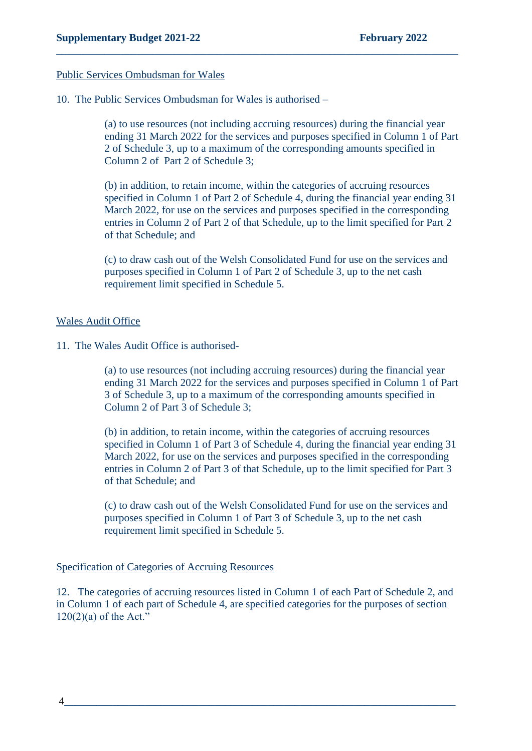#### Public Services Ombudsman for Wales

10. The Public Services Ombudsman for Wales is authorised –

(a) to use resources (not including accruing resources) during the financial year ending 31 March 2022 for the services and purposes specified in Column 1 of Part 2 of Schedule 3, up to a maximum of the corresponding amounts specified in Column 2 of Part 2 of Schedule 3;

**\_\_\_\_\_\_\_\_\_\_\_\_\_\_\_\_\_\_\_\_\_\_\_\_\_\_\_\_\_\_\_\_\_\_\_\_\_\_\_\_\_\_\_\_\_\_\_\_\_\_\_\_\_\_\_\_\_\_\_\_\_\_\_\_\_\_\_\_\_\_\_\_\_\_\_**

(b) in addition, to retain income, within the categories of accruing resources specified in Column 1 of Part 2 of Schedule 4, during the financial year ending 31 March 2022, for use on the services and purposes specified in the corresponding entries in Column 2 of Part 2 of that Schedule, up to the limit specified for Part 2 of that Schedule; and

(c) to draw cash out of the Welsh Consolidated Fund for use on the services and purposes specified in Column 1 of Part 2 of Schedule 3, up to the net cash requirement limit specified in Schedule 5.

#### Wales Audit Office

11. The Wales Audit Office is authorised-

(a) to use resources (not including accruing resources) during the financial year ending 31 March 2022 for the services and purposes specified in Column 1 of Part 3 of Schedule 3, up to a maximum of the corresponding amounts specified in Column 2 of Part 3 of Schedule 3;

(b) in addition, to retain income, within the categories of accruing resources specified in Column 1 of Part 3 of Schedule 4, during the financial year ending 31 March 2022, for use on the services and purposes specified in the corresponding entries in Column 2 of Part 3 of that Schedule, up to the limit specified for Part 3 of that Schedule; and

(c) to draw cash out of the Welsh Consolidated Fund for use on the services and purposes specified in Column 1 of Part 3 of Schedule 3, up to the net cash requirement limit specified in Schedule 5.

#### Specification of Categories of Accruing Resources

12. The categories of accruing resources listed in Column 1 of each Part of Schedule 2, and in Column 1 of each part of Schedule 4, are specified categories for the purposes of section  $120(2)(a)$  of the Act."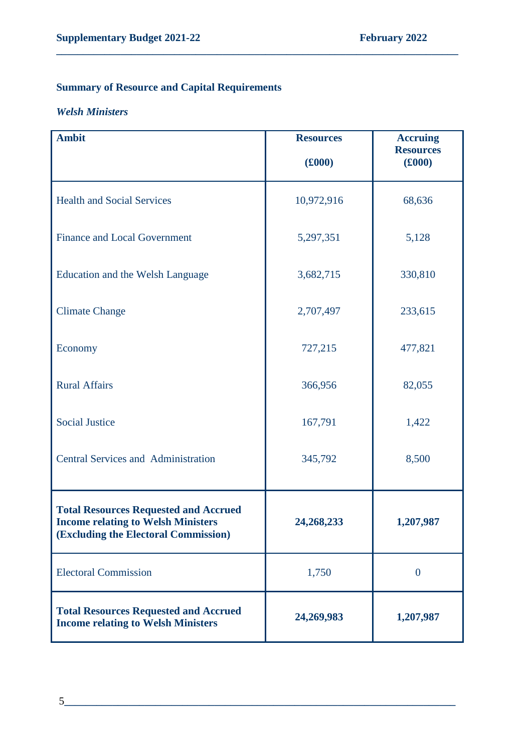# **Summary of Resource and Capital Requirements**

#### *Welsh Ministers*

| <b>Ambit</b>                                                                                                                      | <b>Resources</b><br>(£000) | <b>Accruing</b><br><b>Resources</b><br>(£000) |
|-----------------------------------------------------------------------------------------------------------------------------------|----------------------------|-----------------------------------------------|
| <b>Health and Social Services</b>                                                                                                 | 10,972,916                 | 68,636                                        |
| <b>Finance and Local Government</b>                                                                                               | 5,297,351                  | 5,128                                         |
| Education and the Welsh Language                                                                                                  | 3,682,715                  | 330,810                                       |
| <b>Climate Change</b>                                                                                                             | 2,707,497                  | 233,615                                       |
| Economy                                                                                                                           | 727,215                    | 477,821                                       |
| <b>Rural Affairs</b>                                                                                                              | 366,956                    | 82,055                                        |
| <b>Social Justice</b>                                                                                                             | 167,791                    | 1,422                                         |
| <b>Central Services and Administration</b>                                                                                        | 345,792                    | 8,500                                         |
| <b>Total Resources Requested and Accrued</b><br><b>Income relating to Welsh Ministers</b><br>(Excluding the Electoral Commission) | 24,268,233                 | 1,207,987                                     |
| <b>Electoral Commission</b>                                                                                                       | 1,750                      | $\overline{0}$                                |
| <b>Total Resources Requested and Accrued</b><br><b>Income relating to Welsh Ministers</b>                                         | 24,269,983                 | 1,207,987                                     |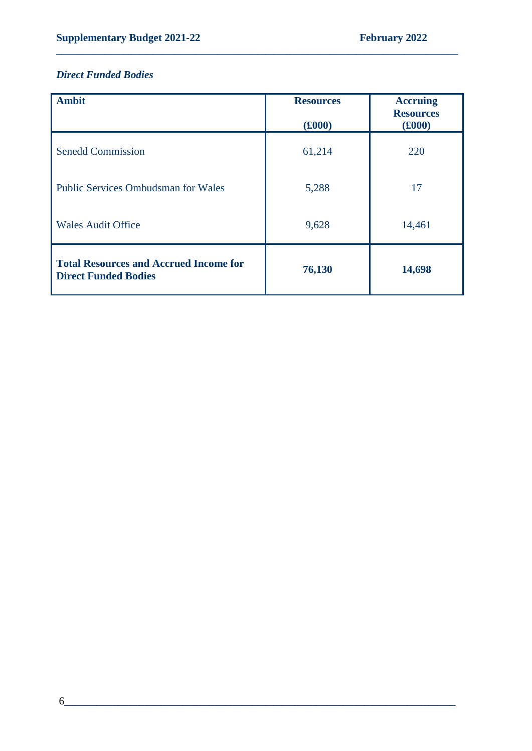## *Direct Funded Bodies*

| <b>Ambit</b>                                                                 | <b>Resources</b><br>(£000) | <b>Accruing</b><br><b>Resources</b><br>(£000) |
|------------------------------------------------------------------------------|----------------------------|-----------------------------------------------|
| <b>Senedd Commission</b>                                                     | 61,214                     | 220                                           |
| <b>Public Services Ombudsman for Wales</b>                                   | 5,288                      | 17                                            |
| <b>Wales Audit Office</b>                                                    | 9,628                      | 14,461                                        |
| <b>Total Resources and Accrued Income for</b><br><b>Direct Funded Bodies</b> | 76,130                     | 14,698                                        |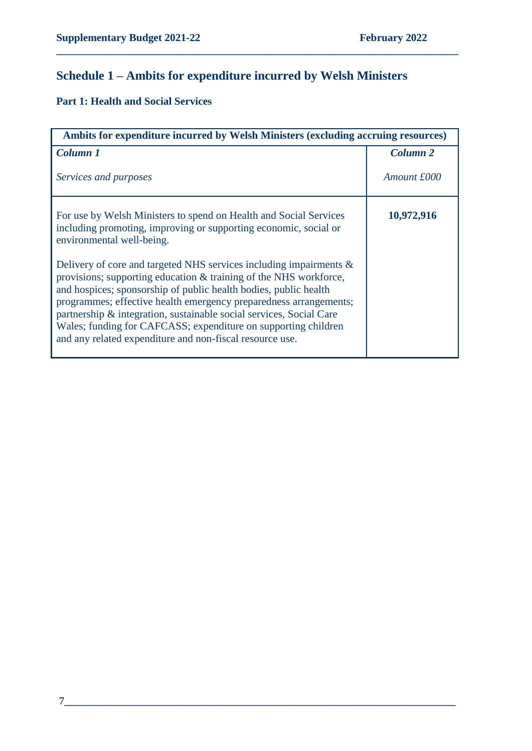# **Schedule 1 – Ambits for expenditure incurred by Welsh Ministers**

**\_\_\_\_\_\_\_\_\_\_\_\_\_\_\_\_\_\_\_\_\_\_\_\_\_\_\_\_\_\_\_\_\_\_\_\_\_\_\_\_\_\_\_\_\_\_\_\_\_\_\_\_\_\_\_\_\_\_\_\_\_\_\_\_\_\_\_\_\_\_\_\_\_\_\_**

## **Part 1: Health and Social Services**

| Ambits for expenditure incurred by Welsh Ministers (excluding accruing resources)                                                                                                                                                                                                                                                                                                                               |                     |
|-----------------------------------------------------------------------------------------------------------------------------------------------------------------------------------------------------------------------------------------------------------------------------------------------------------------------------------------------------------------------------------------------------------------|---------------------|
| <b>Column 1</b>                                                                                                                                                                                                                                                                                                                                                                                                 | Column <sub>2</sub> |
| Services and purposes                                                                                                                                                                                                                                                                                                                                                                                           | Amount £000         |
| For use by Welsh Ministers to spend on Health and Social Services<br>including promoting, improving or supporting economic, social or<br>environmental well-being.<br>Delivery of core and targeted NHS services including impairments &                                                                                                                                                                        | 10,972,916          |
| provisions; supporting education & training of the NHS workforce,<br>and hospices; sponsorship of public health bodies, public health<br>programmes; effective health emergency preparedness arrangements;<br>partnership & integration, sustainable social services, Social Care<br>Wales; funding for CAFCASS; expenditure on supporting children<br>and any related expenditure and non-fiscal resource use. |                     |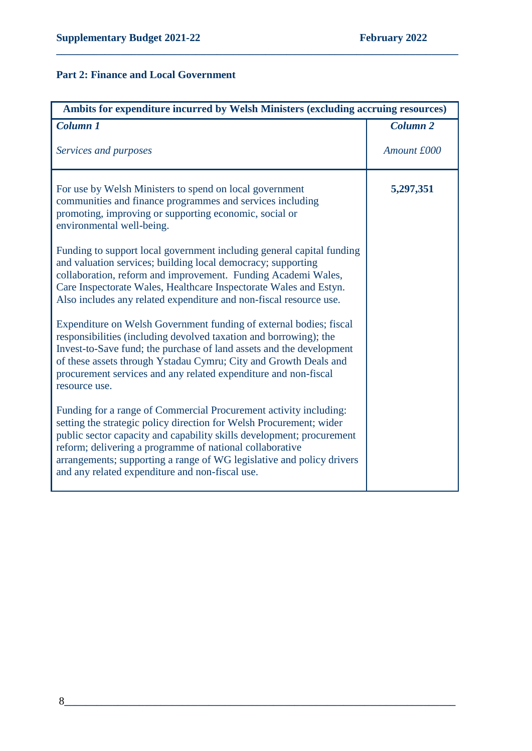## **Part 2: Finance and Local Government**

| Ambits for expenditure incurred by Welsh Ministers (excluding accruing resources)                                                                                                                                                                                                                                                                                                                         |                     |
|-----------------------------------------------------------------------------------------------------------------------------------------------------------------------------------------------------------------------------------------------------------------------------------------------------------------------------------------------------------------------------------------------------------|---------------------|
| <b>Column 1</b>                                                                                                                                                                                                                                                                                                                                                                                           | Column <sub>2</sub> |
| Services and purposes                                                                                                                                                                                                                                                                                                                                                                                     | Amount £000         |
| For use by Welsh Ministers to spend on local government<br>communities and finance programmes and services including<br>promoting, improving or supporting economic, social or<br>environmental well-being.                                                                                                                                                                                               | 5,297,351           |
| Funding to support local government including general capital funding<br>and valuation services; building local democracy; supporting<br>collaboration, reform and improvement. Funding Academi Wales,<br>Care Inspectorate Wales, Healthcare Inspectorate Wales and Estyn.<br>Also includes any related expenditure and non-fiscal resource use.                                                         |                     |
| Expenditure on Welsh Government funding of external bodies; fiscal<br>responsibilities (including devolved taxation and borrowing); the<br>Invest-to-Save fund; the purchase of land assets and the development<br>of these assets through Ystadau Cymru; City and Growth Deals and<br>procurement services and any related expenditure and non-fiscal<br>resource use.                                   |                     |
| Funding for a range of Commercial Procurement activity including:<br>setting the strategic policy direction for Welsh Procurement; wider<br>public sector capacity and capability skills development; procurement<br>reform; delivering a programme of national collaborative<br>arrangements; supporting a range of WG legislative and policy drivers<br>and any related expenditure and non-fiscal use. |                     |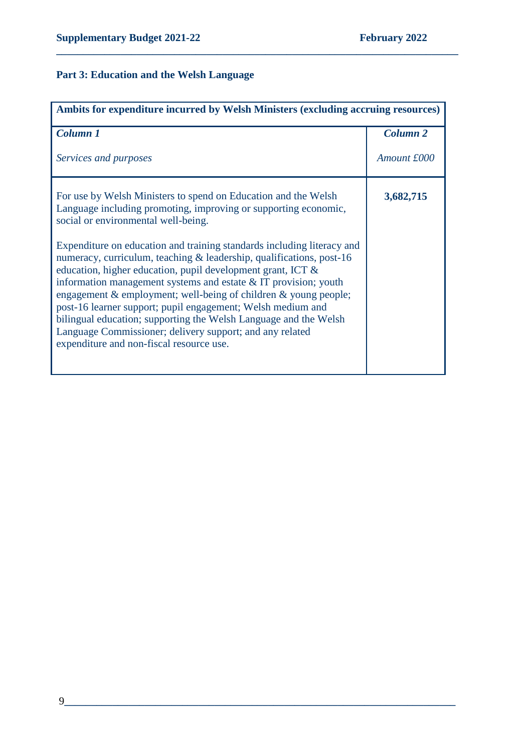## **Part 3: Education and the Welsh Language**

| Ambits for expenditure incurred by Welsh Ministers (excluding accruing resources)                                                                                                                                                                                                                                                                                                                                                                                                                                                                                                               |                 |
|-------------------------------------------------------------------------------------------------------------------------------------------------------------------------------------------------------------------------------------------------------------------------------------------------------------------------------------------------------------------------------------------------------------------------------------------------------------------------------------------------------------------------------------------------------------------------------------------------|-----------------|
| <b>Column 1</b>                                                                                                                                                                                                                                                                                                                                                                                                                                                                                                                                                                                 | <b>Column 2</b> |
| Services and purposes                                                                                                                                                                                                                                                                                                                                                                                                                                                                                                                                                                           | Amount £000     |
| For use by Welsh Ministers to spend on Education and the Welsh<br>Language including promoting, improving or supporting economic,<br>social or environmental well-being.                                                                                                                                                                                                                                                                                                                                                                                                                        | 3,682,715       |
| Expenditure on education and training standards including literacy and<br>numeracy, curriculum, teaching & leadership, qualifications, post-16<br>education, higher education, pupil development grant, ICT &<br>information management systems and estate $&IT$ provision; youth<br>engagement & employment; well-being of children & young people;<br>post-16 learner support; pupil engagement; Welsh medium and<br>bilingual education; supporting the Welsh Language and the Welsh<br>Language Commissioner; delivery support; and any related<br>expenditure and non-fiscal resource use. |                 |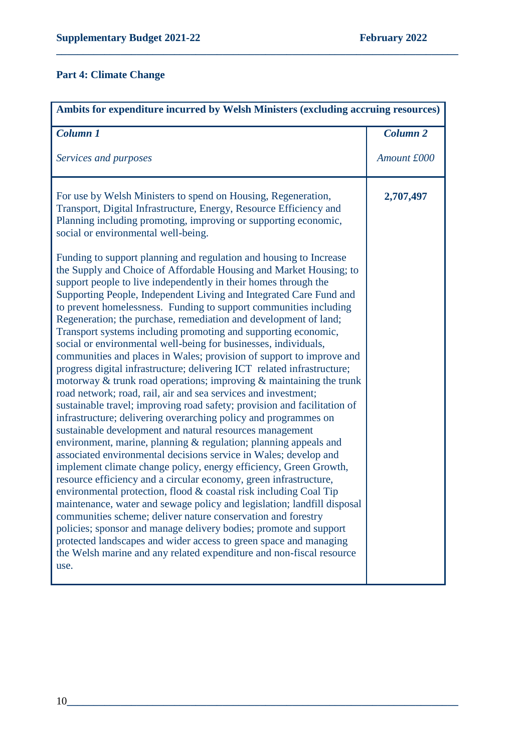## **Part 4: Climate Change**

| Ambits for expenditure incurred by Welsh Ministers (excluding accruing resources)                                                                                                                                                                                                                                                                                                                                                                                                                                                                                                                                                                                                                                                                                                                                                                                                                                                                                                                                                                                                                                                                                                                                                                                                                                                                                                                                                                                                                                                                                                                                                                                                                                                                                                                                                                                                                                                                                                                                                                         |                 |  |
|-----------------------------------------------------------------------------------------------------------------------------------------------------------------------------------------------------------------------------------------------------------------------------------------------------------------------------------------------------------------------------------------------------------------------------------------------------------------------------------------------------------------------------------------------------------------------------------------------------------------------------------------------------------------------------------------------------------------------------------------------------------------------------------------------------------------------------------------------------------------------------------------------------------------------------------------------------------------------------------------------------------------------------------------------------------------------------------------------------------------------------------------------------------------------------------------------------------------------------------------------------------------------------------------------------------------------------------------------------------------------------------------------------------------------------------------------------------------------------------------------------------------------------------------------------------------------------------------------------------------------------------------------------------------------------------------------------------------------------------------------------------------------------------------------------------------------------------------------------------------------------------------------------------------------------------------------------------------------------------------------------------------------------------------------------------|-----------------|--|
| Column 1                                                                                                                                                                                                                                                                                                                                                                                                                                                                                                                                                                                                                                                                                                                                                                                                                                                                                                                                                                                                                                                                                                                                                                                                                                                                                                                                                                                                                                                                                                                                                                                                                                                                                                                                                                                                                                                                                                                                                                                                                                                  | <b>Column 2</b> |  |
| Services and purposes                                                                                                                                                                                                                                                                                                                                                                                                                                                                                                                                                                                                                                                                                                                                                                                                                                                                                                                                                                                                                                                                                                                                                                                                                                                                                                                                                                                                                                                                                                                                                                                                                                                                                                                                                                                                                                                                                                                                                                                                                                     | Amount £000     |  |
| For use by Welsh Ministers to spend on Housing, Regeneration,<br>Transport, Digital Infrastructure, Energy, Resource Efficiency and<br>Planning including promoting, improving or supporting economic,<br>social or environmental well-being.<br>Funding to support planning and regulation and housing to Increase<br>the Supply and Choice of Affordable Housing and Market Housing; to<br>support people to live independently in their homes through the<br>Supporting People, Independent Living and Integrated Care Fund and<br>to prevent homelessness. Funding to support communities including<br>Regeneration; the purchase, remediation and development of land;<br>Transport systems including promoting and supporting economic,<br>social or environmental well-being for businesses, individuals,<br>communities and places in Wales; provision of support to improve and<br>progress digital infrastructure; delivering ICT related infrastructure;<br>motorway $\&$ trunk road operations; improving $\&$ maintaining the trunk<br>road network; road, rail, air and sea services and investment;<br>sustainable travel; improving road safety; provision and facilitation of<br>infrastructure; delivering overarching policy and programmes on<br>sustainable development and natural resources management<br>environment, marine, planning & regulation; planning appeals and<br>associated environmental decisions service in Wales; develop and<br>implement climate change policy, energy efficiency, Green Growth,<br>resource efficiency and a circular economy, green infrastructure,<br>environmental protection, flood & coastal risk including Coal Tip<br>maintenance, water and sewage policy and legislation; landfill disposal<br>communities scheme; deliver nature conservation and forestry<br>policies; sponsor and manage delivery bodies; promote and support<br>protected landscapes and wider access to green space and managing<br>the Welsh marine and any related expenditure and non-fiscal resource<br>use. | 2,707,497       |  |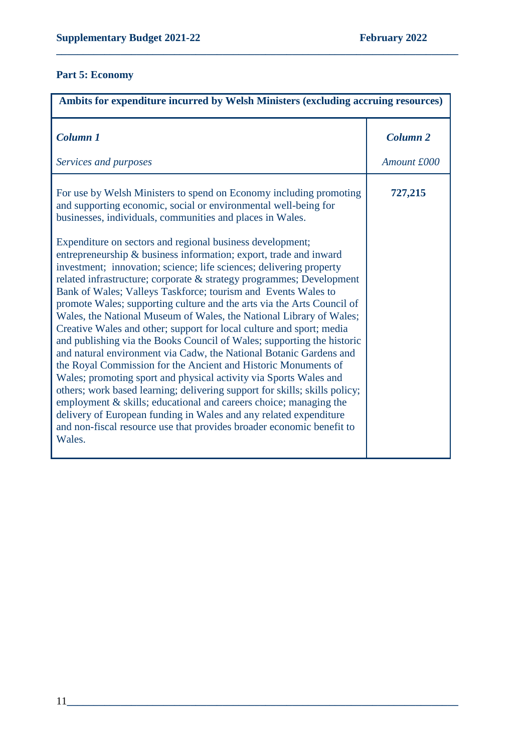#### **Part 5: Economy**

| Ambits for expenditure incurred by Welsh Ministers (excluding accruing resources)                                                                                                                                                                                                                                                                                                                                                                                                                                                                                                                                                                                                                                                                                                                                                                                                                                                                                                                                                                                                                                                                                                                                                                                                                                                                                               |                 |
|---------------------------------------------------------------------------------------------------------------------------------------------------------------------------------------------------------------------------------------------------------------------------------------------------------------------------------------------------------------------------------------------------------------------------------------------------------------------------------------------------------------------------------------------------------------------------------------------------------------------------------------------------------------------------------------------------------------------------------------------------------------------------------------------------------------------------------------------------------------------------------------------------------------------------------------------------------------------------------------------------------------------------------------------------------------------------------------------------------------------------------------------------------------------------------------------------------------------------------------------------------------------------------------------------------------------------------------------------------------------------------|-----------------|
| <b>Column 1</b>                                                                                                                                                                                                                                                                                                                                                                                                                                                                                                                                                                                                                                                                                                                                                                                                                                                                                                                                                                                                                                                                                                                                                                                                                                                                                                                                                                 | <b>Column 2</b> |
| Services and purposes                                                                                                                                                                                                                                                                                                                                                                                                                                                                                                                                                                                                                                                                                                                                                                                                                                                                                                                                                                                                                                                                                                                                                                                                                                                                                                                                                           | Amount £000     |
| For use by Welsh Ministers to spend on Economy including promoting<br>and supporting economic, social or environmental well-being for<br>businesses, individuals, communities and places in Wales.<br>Expenditure on sectors and regional business development;<br>entrepreneurship & business information; export, trade and inward<br>investment; innovation; science; life sciences; delivering property<br>related infrastructure; corporate & strategy programmes; Development<br>Bank of Wales; Valleys Taskforce; tourism and Events Wales to<br>promote Wales; supporting culture and the arts via the Arts Council of<br>Wales, the National Museum of Wales, the National Library of Wales;<br>Creative Wales and other; support for local culture and sport; media<br>and publishing via the Books Council of Wales; supporting the historic<br>and natural environment via Cadw, the National Botanic Gardens and<br>the Royal Commission for the Ancient and Historic Monuments of<br>Wales; promoting sport and physical activity via Sports Wales and<br>others; work based learning; delivering support for skills; skills policy;<br>employment & skills; educational and careers choice; managing the<br>delivery of European funding in Wales and any related expenditure<br>and non-fiscal resource use that provides broader economic benefit to<br>Wales. | 727,215         |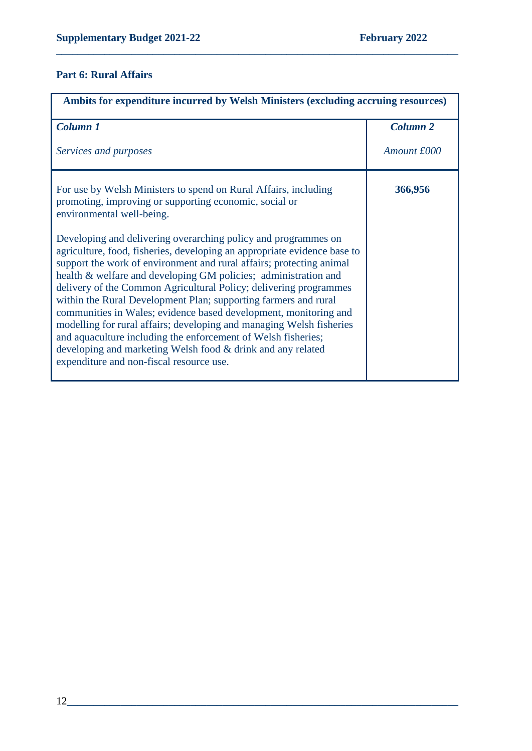## **Part 6: Rural Affairs**

| Ambits for expenditure incurred by Welsh Ministers (excluding accruing resources)                                                                                                                                                                                                                                                                                                                                                                                                                                                                                                                                                                                                                                                                     |                     |
|-------------------------------------------------------------------------------------------------------------------------------------------------------------------------------------------------------------------------------------------------------------------------------------------------------------------------------------------------------------------------------------------------------------------------------------------------------------------------------------------------------------------------------------------------------------------------------------------------------------------------------------------------------------------------------------------------------------------------------------------------------|---------------------|
| Column 1                                                                                                                                                                                                                                                                                                                                                                                                                                                                                                                                                                                                                                                                                                                                              | Column <sub>2</sub> |
| Services and purposes                                                                                                                                                                                                                                                                                                                                                                                                                                                                                                                                                                                                                                                                                                                                 | Amount £000         |
| For use by Welsh Ministers to spend on Rural Affairs, including<br>promoting, improving or supporting economic, social or<br>environmental well-being.                                                                                                                                                                                                                                                                                                                                                                                                                                                                                                                                                                                                | 366,956             |
| Developing and delivering overarching policy and programmes on<br>agriculture, food, fisheries, developing an appropriate evidence base to<br>support the work of environment and rural affairs; protecting animal<br>health & welfare and developing GM policies; administration and<br>delivery of the Common Agricultural Policy; delivering programmes<br>within the Rural Development Plan; supporting farmers and rural<br>communities in Wales; evidence based development, monitoring and<br>modelling for rural affairs; developing and managing Welsh fisheries<br>and aquaculture including the enforcement of Welsh fisheries;<br>developing and marketing Welsh food & drink and any related<br>expenditure and non-fiscal resource use. |                     |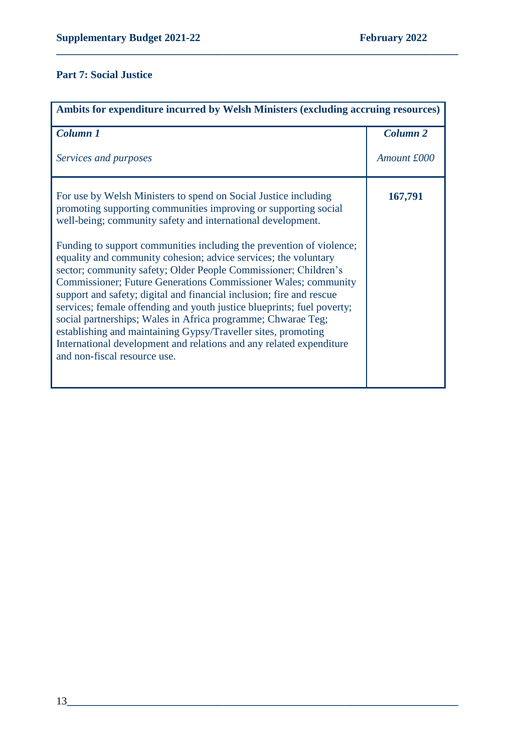## **Part 7: Social Justice**

| Ambits for expenditure incurred by Welsh Ministers (excluding accruing resources)                                                                                                                                                                                                                                                                                                                                                                                                                                                                                                                                                                                                                                                                                                                                                                                                   |                 |
|-------------------------------------------------------------------------------------------------------------------------------------------------------------------------------------------------------------------------------------------------------------------------------------------------------------------------------------------------------------------------------------------------------------------------------------------------------------------------------------------------------------------------------------------------------------------------------------------------------------------------------------------------------------------------------------------------------------------------------------------------------------------------------------------------------------------------------------------------------------------------------------|-----------------|
| <b>Column 1</b>                                                                                                                                                                                                                                                                                                                                                                                                                                                                                                                                                                                                                                                                                                                                                                                                                                                                     | <b>Column 2</b> |
| Services and purposes                                                                                                                                                                                                                                                                                                                                                                                                                                                                                                                                                                                                                                                                                                                                                                                                                                                               | Amount £000     |
| For use by Welsh Ministers to spend on Social Justice including<br>promoting supporting communities improving or supporting social<br>well-being; community safety and international development.<br>Funding to support communities including the prevention of violence;<br>equality and community cohesion; advice services; the voluntary<br>sector; community safety; Older People Commissioner; Children's<br><b>Commissioner</b> ; Future Generations Commissioner Wales; community<br>support and safety; digital and financial inclusion; fire and rescue<br>services; female offending and youth justice blueprints; fuel poverty;<br>social partnerships; Wales in Africa programme; Chwarae Teg;<br>establishing and maintaining Gypsy/Traveller sites, promoting<br>International development and relations and any related expenditure<br>and non-fiscal resource use. | 167,791         |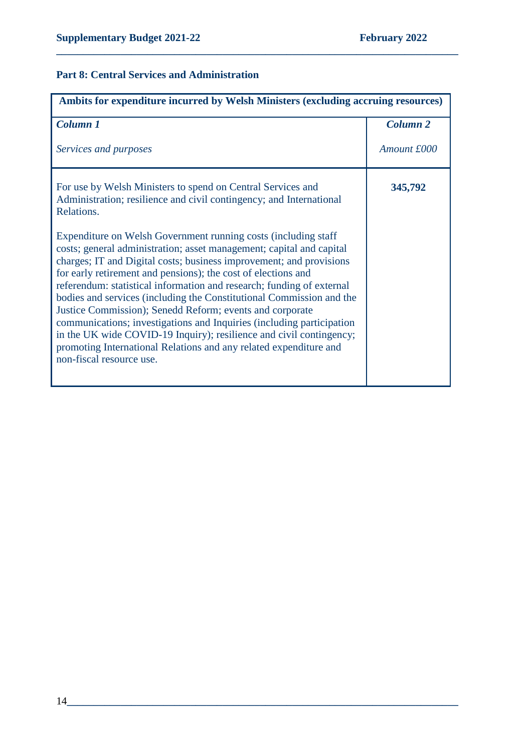## **Part 8: Central Services and Administration**

| Ambits for expenditure incurred by Welsh Ministers (excluding accruing resources)                                                                                                                                                                                                                                                                                                                                                                                                                                                                                                                                                                                                                                                            |                     |
|----------------------------------------------------------------------------------------------------------------------------------------------------------------------------------------------------------------------------------------------------------------------------------------------------------------------------------------------------------------------------------------------------------------------------------------------------------------------------------------------------------------------------------------------------------------------------------------------------------------------------------------------------------------------------------------------------------------------------------------------|---------------------|
| <b>Column 1</b>                                                                                                                                                                                                                                                                                                                                                                                                                                                                                                                                                                                                                                                                                                                              | Column <sub>2</sub> |
| Services and purposes                                                                                                                                                                                                                                                                                                                                                                                                                                                                                                                                                                                                                                                                                                                        | Amount £000         |
| For use by Welsh Ministers to spend on Central Services and<br>Administration; resilience and civil contingency; and International<br>Relations.                                                                                                                                                                                                                                                                                                                                                                                                                                                                                                                                                                                             | 345,792             |
| Expenditure on Welsh Government running costs (including staff<br>costs; general administration; asset management; capital and capital<br>charges; IT and Digital costs; business improvement; and provisions<br>for early retirement and pensions); the cost of elections and<br>referendum: statistical information and research; funding of external<br>bodies and services (including the Constitutional Commission and the<br>Justice Commission); Senedd Reform; events and corporate<br>communications; investigations and Inquiries (including participation<br>in the UK wide COVID-19 Inquiry); resilience and civil contingency;<br>promoting International Relations and any related expenditure and<br>non-fiscal resource use. |                     |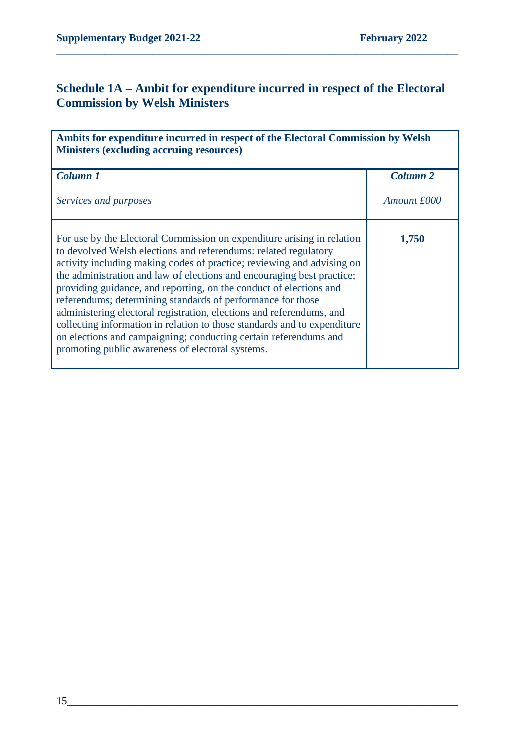# **Schedule 1A – Ambit for expenditure incurred in respect of the Electoral Commission by Welsh Ministers**

| Ambits for expenditure incurred in respect of the Electoral Commission by Welsh<br><b>Ministers (excluding accruing resources)</b>                                                                                                                                                                                                                                                                                                                                                                                                                                                                                                                                                                             |                 |
|----------------------------------------------------------------------------------------------------------------------------------------------------------------------------------------------------------------------------------------------------------------------------------------------------------------------------------------------------------------------------------------------------------------------------------------------------------------------------------------------------------------------------------------------------------------------------------------------------------------------------------------------------------------------------------------------------------------|-----------------|
| <b>Column 1</b>                                                                                                                                                                                                                                                                                                                                                                                                                                                                                                                                                                                                                                                                                                | <b>Column 2</b> |
| Services and purposes                                                                                                                                                                                                                                                                                                                                                                                                                                                                                                                                                                                                                                                                                          | Amount £000     |
| For use by the Electoral Commission on expenditure arising in relation<br>to devolved Welsh elections and referendums: related regulatory<br>activity including making codes of practice; reviewing and advising on<br>the administration and law of elections and encouraging best practice;<br>providing guidance, and reporting, on the conduct of elections and<br>referendums; determining standards of performance for those<br>administering electoral registration, elections and referendums, and<br>collecting information in relation to those standards and to expenditure<br>on elections and campaigning; conducting certain referendums and<br>promoting public awareness of electoral systems. | 1,750           |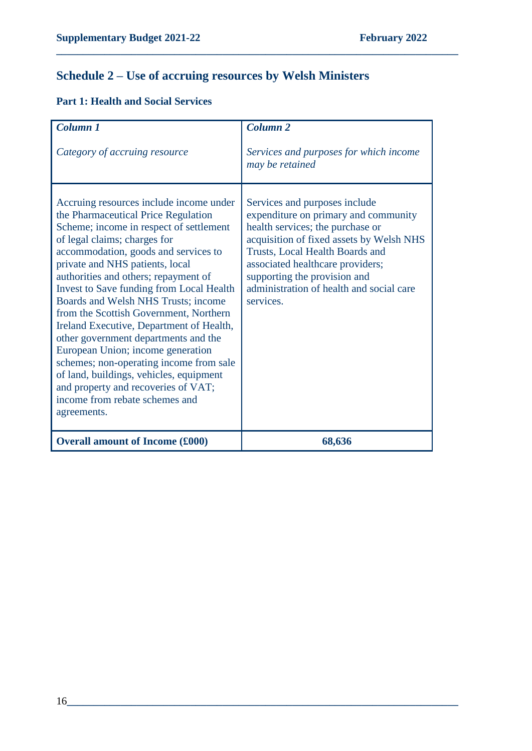# **Schedule 2 – Use of accruing resources by Welsh Ministers**

**\_\_\_\_\_\_\_\_\_\_\_\_\_\_\_\_\_\_\_\_\_\_\_\_\_\_\_\_\_\_\_\_\_\_\_\_\_\_\_\_\_\_\_\_\_\_\_\_\_\_\_\_\_\_\_\_\_\_\_\_\_\_\_\_\_\_\_\_\_\_\_\_\_\_\_**

## **Part 1: Health and Social Services**

| Column <sub>1</sub>                                                                                                                                                                                                                                                                                                                                                                                                                                                                                                                                                                                                                                                                                              | Column <sub>2</sub>                                                                                                                                                                                                                                                                                                   |
|------------------------------------------------------------------------------------------------------------------------------------------------------------------------------------------------------------------------------------------------------------------------------------------------------------------------------------------------------------------------------------------------------------------------------------------------------------------------------------------------------------------------------------------------------------------------------------------------------------------------------------------------------------------------------------------------------------------|-----------------------------------------------------------------------------------------------------------------------------------------------------------------------------------------------------------------------------------------------------------------------------------------------------------------------|
| Category of accruing resource                                                                                                                                                                                                                                                                                                                                                                                                                                                                                                                                                                                                                                                                                    | Services and purposes for which income<br>may be retained                                                                                                                                                                                                                                                             |
| Accruing resources include income under<br>the Pharmaceutical Price Regulation<br>Scheme; income in respect of settlement<br>of legal claims; charges for<br>accommodation, goods and services to<br>private and NHS patients, local<br>authorities and others; repayment of<br>Invest to Save funding from Local Health<br>Boards and Welsh NHS Trusts; income<br>from the Scottish Government, Northern<br>Ireland Executive, Department of Health,<br>other government departments and the<br>European Union; income generation<br>schemes; non-operating income from sale<br>of land, buildings, vehicles, equipment<br>and property and recoveries of VAT;<br>income from rebate schemes and<br>agreements. | Services and purposes include<br>expenditure on primary and community<br>health services; the purchase or<br>acquisition of fixed assets by Welsh NHS<br>Trusts, Local Health Boards and<br>associated healthcare providers;<br>supporting the provision and<br>administration of health and social care<br>services. |
| <b>Overall amount of Income (£000)</b>                                                                                                                                                                                                                                                                                                                                                                                                                                                                                                                                                                                                                                                                           | 68,636                                                                                                                                                                                                                                                                                                                |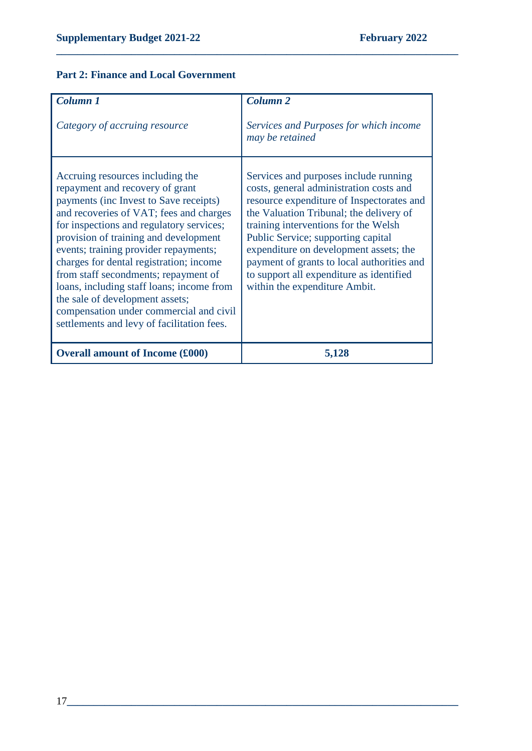## **Part 2: Finance and Local Government**

| Column 1<br>Category of accruing resource                                                                                                                                                                                                                                                                                                                                                                                                                                                                                                          | <b>Column 2</b><br>Services and Purposes for which income<br>may be retained                                                                                                                                                                                                                                                                                                                                                |
|----------------------------------------------------------------------------------------------------------------------------------------------------------------------------------------------------------------------------------------------------------------------------------------------------------------------------------------------------------------------------------------------------------------------------------------------------------------------------------------------------------------------------------------------------|-----------------------------------------------------------------------------------------------------------------------------------------------------------------------------------------------------------------------------------------------------------------------------------------------------------------------------------------------------------------------------------------------------------------------------|
| Accruing resources including the<br>repayment and recovery of grant<br>payments (inc Invest to Save receipts)<br>and recoveries of VAT; fees and charges<br>for inspections and regulatory services;<br>provision of training and development<br>events; training provider repayments;<br>charges for dental registration; income<br>from staff secondments; repayment of<br>loans, including staff loans; income from<br>the sale of development assets;<br>compensation under commercial and civil<br>settlements and levy of facilitation fees. | Services and purposes include running<br>costs, general administration costs and<br>resource expenditure of Inspectorates and<br>the Valuation Tribunal; the delivery of<br>training interventions for the Welsh<br>Public Service; supporting capital<br>expenditure on development assets; the<br>payment of grants to local authorities and<br>to support all expenditure as identified<br>within the expenditure Ambit. |
| <b>Overall amount of Income (£000)</b>                                                                                                                                                                                                                                                                                                                                                                                                                                                                                                             | 5,128                                                                                                                                                                                                                                                                                                                                                                                                                       |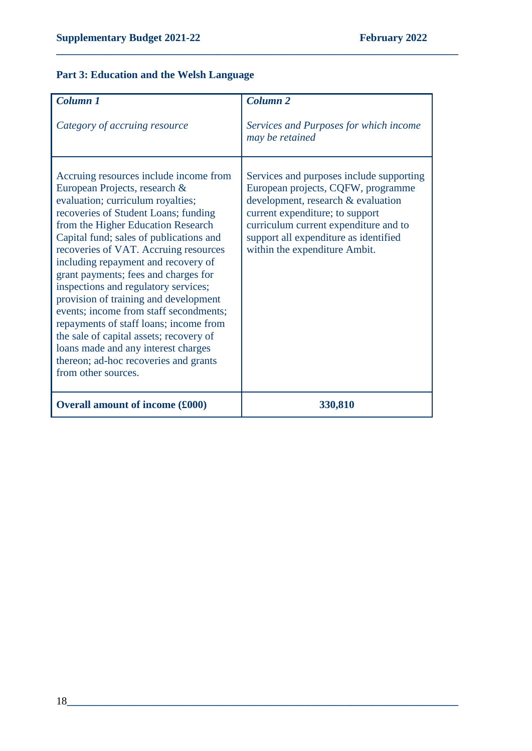## **Part 3: Education and the Welsh Language**

| Column 1                                                                                                                                                                                                                                                                                                                                                                                                                                                                                                                                                                                                                                                                             | Column <sub>2</sub>                                                                                                                                                                                                                                                        |
|--------------------------------------------------------------------------------------------------------------------------------------------------------------------------------------------------------------------------------------------------------------------------------------------------------------------------------------------------------------------------------------------------------------------------------------------------------------------------------------------------------------------------------------------------------------------------------------------------------------------------------------------------------------------------------------|----------------------------------------------------------------------------------------------------------------------------------------------------------------------------------------------------------------------------------------------------------------------------|
| Category of accruing resource                                                                                                                                                                                                                                                                                                                                                                                                                                                                                                                                                                                                                                                        | Services and Purposes for which income<br>may be retained                                                                                                                                                                                                                  |
| Accruing resources include income from<br>European Projects, research &<br>evaluation; curriculum royalties;<br>recoveries of Student Loans; funding<br>from the Higher Education Research<br>Capital fund; sales of publications and<br>recoveries of VAT. Accruing resources<br>including repayment and recovery of<br>grant payments; fees and charges for<br>inspections and regulatory services;<br>provision of training and development<br>events; income from staff secondments;<br>repayments of staff loans; income from<br>the sale of capital assets; recovery of<br>loans made and any interest charges<br>thereon; ad-hoc recoveries and grants<br>from other sources. | Services and purposes include supporting<br>European projects, CQFW, programme<br>development, research & evaluation<br>current expenditure; to support<br>curriculum current expenditure and to<br>support all expenditure as identified<br>within the expenditure Ambit. |
| <b>Overall amount of income (£000)</b>                                                                                                                                                                                                                                                                                                                                                                                                                                                                                                                                                                                                                                               | 330,810                                                                                                                                                                                                                                                                    |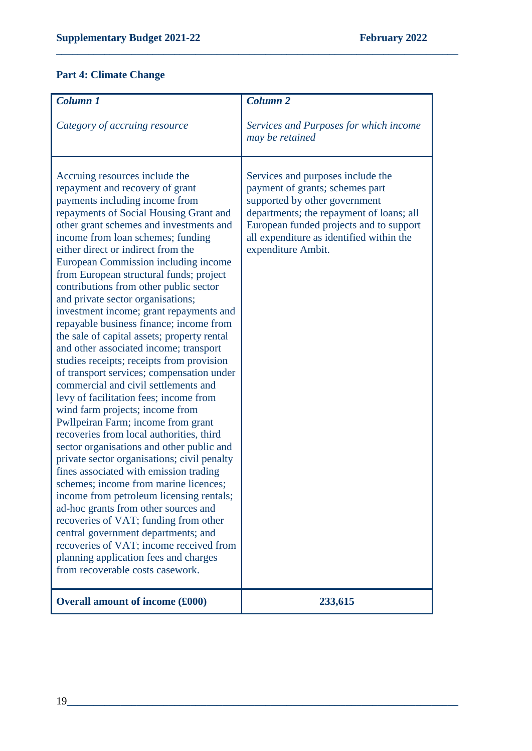#### **Part 4: Climate Change**

| <b>Column 1</b>                                                                                                                                                                                                                                                                                                                                                                                                                                                                                                                                                                                                                                                                                                                                                                                                                                                                                                                                                                                                                                                                                                                                                                                                                                                                                                                                                                                  | <b>Column 2</b>                                                                                                                                                                                                                                                |
|--------------------------------------------------------------------------------------------------------------------------------------------------------------------------------------------------------------------------------------------------------------------------------------------------------------------------------------------------------------------------------------------------------------------------------------------------------------------------------------------------------------------------------------------------------------------------------------------------------------------------------------------------------------------------------------------------------------------------------------------------------------------------------------------------------------------------------------------------------------------------------------------------------------------------------------------------------------------------------------------------------------------------------------------------------------------------------------------------------------------------------------------------------------------------------------------------------------------------------------------------------------------------------------------------------------------------------------------------------------------------------------------------|----------------------------------------------------------------------------------------------------------------------------------------------------------------------------------------------------------------------------------------------------------------|
| Category of accruing resource                                                                                                                                                                                                                                                                                                                                                                                                                                                                                                                                                                                                                                                                                                                                                                                                                                                                                                                                                                                                                                                                                                                                                                                                                                                                                                                                                                    | Services and Purposes for which income<br>may be retained                                                                                                                                                                                                      |
| Accruing resources include the<br>repayment and recovery of grant<br>payments including income from<br>repayments of Social Housing Grant and<br>other grant schemes and investments and<br>income from loan schemes; funding<br>either direct or indirect from the<br>European Commission including income<br>from European structural funds; project<br>contributions from other public sector<br>and private sector organisations;<br>investment income; grant repayments and<br>repayable business finance; income from<br>the sale of capital assets; property rental<br>and other associated income; transport<br>studies receipts; receipts from provision<br>of transport services; compensation under<br>commercial and civil settlements and<br>levy of facilitation fees; income from<br>wind farm projects; income from<br>Pwllpeiran Farm; income from grant<br>recoveries from local authorities, third<br>sector organisations and other public and<br>private sector organisations; civil penalty<br>fines associated with emission trading<br>schemes; income from marine licences;<br>income from petroleum licensing rentals;<br>ad-hoc grants from other sources and<br>recoveries of VAT; funding from other<br>central government departments; and<br>recoveries of VAT; income received from<br>planning application fees and charges<br>from recoverable costs casework. | Services and purposes include the<br>payment of grants; schemes part<br>supported by other government<br>departments; the repayment of loans; all<br>European funded projects and to support<br>all expenditure as identified within the<br>expenditure Ambit. |
| <b>Overall amount of income (£000)</b>                                                                                                                                                                                                                                                                                                                                                                                                                                                                                                                                                                                                                                                                                                                                                                                                                                                                                                                                                                                                                                                                                                                                                                                                                                                                                                                                                           | 233,615                                                                                                                                                                                                                                                        |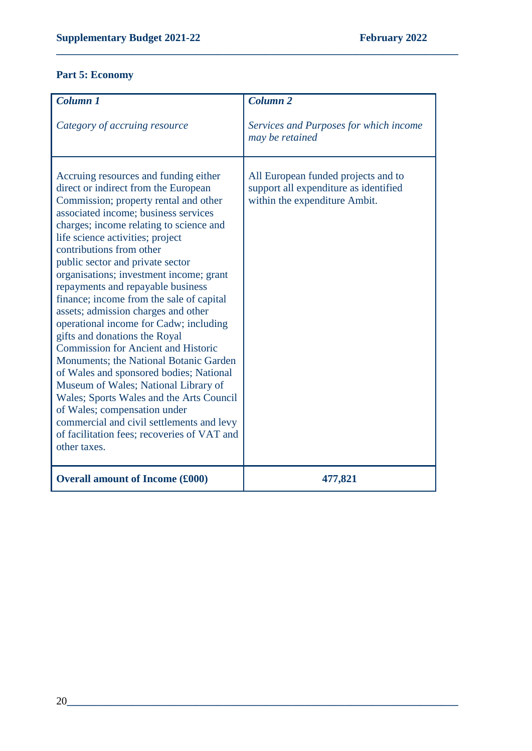## **Part 5: Economy**

| Column 1                                                                                                                                                                                                                                                                                                                                                                                                                                                                                                                                                                                                                                                                                                                                                                                                                                                                                                                       | Column <sub>2</sub>                                                                                           |
|--------------------------------------------------------------------------------------------------------------------------------------------------------------------------------------------------------------------------------------------------------------------------------------------------------------------------------------------------------------------------------------------------------------------------------------------------------------------------------------------------------------------------------------------------------------------------------------------------------------------------------------------------------------------------------------------------------------------------------------------------------------------------------------------------------------------------------------------------------------------------------------------------------------------------------|---------------------------------------------------------------------------------------------------------------|
| Category of accruing resource                                                                                                                                                                                                                                                                                                                                                                                                                                                                                                                                                                                                                                                                                                                                                                                                                                                                                                  | Services and Purposes for which income<br>may be retained                                                     |
| Accruing resources and funding either<br>direct or indirect from the European<br>Commission; property rental and other<br>associated income; business services<br>charges; income relating to science and<br>life science activities; project<br>contributions from other<br>public sector and private sector<br>organisations; investment income; grant<br>repayments and repayable business<br>finance; income from the sale of capital<br>assets; admission charges and other<br>operational income for Cadw; including<br>gifts and donations the Royal<br><b>Commission for Ancient and Historic</b><br>Monuments; the National Botanic Garden<br>of Wales and sponsored bodies; National<br>Museum of Wales; National Library of<br>Wales; Sports Wales and the Arts Council<br>of Wales; compensation under<br>commercial and civil settlements and levy<br>of facilitation fees; recoveries of VAT and<br>other taxes. | All European funded projects and to<br>support all expenditure as identified<br>within the expenditure Ambit. |
| <b>Overall amount of Income (£000)</b>                                                                                                                                                                                                                                                                                                                                                                                                                                                                                                                                                                                                                                                                                                                                                                                                                                                                                         | 477,821                                                                                                       |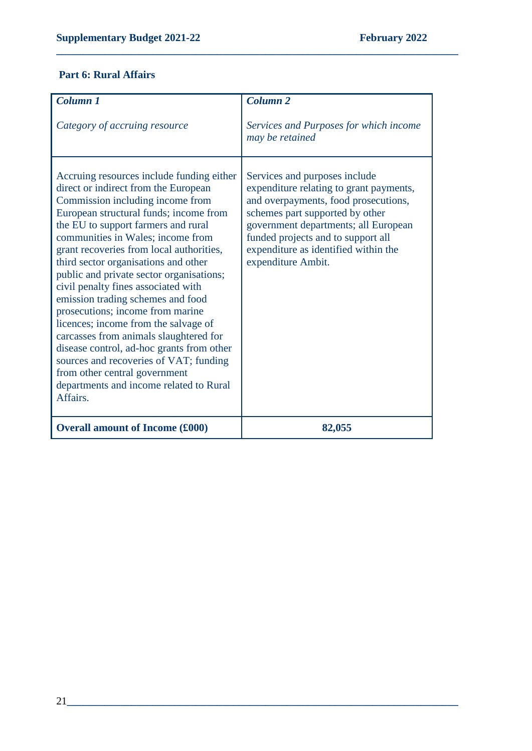# **Part 6: Rural Affairs**

| Column <sub>1</sub>                                                                                                                                                                                                                                                                                                                                                                                                                                                                                                                                                                                                                                                                                                                                          | <b>Column 2</b>                                                                                                                                                                                                                                                                                 |
|--------------------------------------------------------------------------------------------------------------------------------------------------------------------------------------------------------------------------------------------------------------------------------------------------------------------------------------------------------------------------------------------------------------------------------------------------------------------------------------------------------------------------------------------------------------------------------------------------------------------------------------------------------------------------------------------------------------------------------------------------------------|-------------------------------------------------------------------------------------------------------------------------------------------------------------------------------------------------------------------------------------------------------------------------------------------------|
| Category of accruing resource                                                                                                                                                                                                                                                                                                                                                                                                                                                                                                                                                                                                                                                                                                                                | Services and Purposes for which income<br>may be retained                                                                                                                                                                                                                                       |
| Accruing resources include funding either<br>direct or indirect from the European<br>Commission including income from<br>European structural funds; income from<br>the EU to support farmers and rural<br>communities in Wales; income from<br>grant recoveries from local authorities,<br>third sector organisations and other<br>public and private sector organisations;<br>civil penalty fines associated with<br>emission trading schemes and food<br>prosecutions; income from marine<br>licences; income from the salvage of<br>carcasses from animals slaughtered for<br>disease control, ad-hoc grants from other<br>sources and recoveries of VAT; funding<br>from other central government<br>departments and income related to Rural<br>Affairs. | Services and purposes include<br>expenditure relating to grant payments,<br>and overpayments, food prosecutions,<br>schemes part supported by other<br>government departments; all European<br>funded projects and to support all<br>expenditure as identified within the<br>expenditure Ambit. |
| <b>Overall amount of Income (£000)</b>                                                                                                                                                                                                                                                                                                                                                                                                                                                                                                                                                                                                                                                                                                                       | 82,055                                                                                                                                                                                                                                                                                          |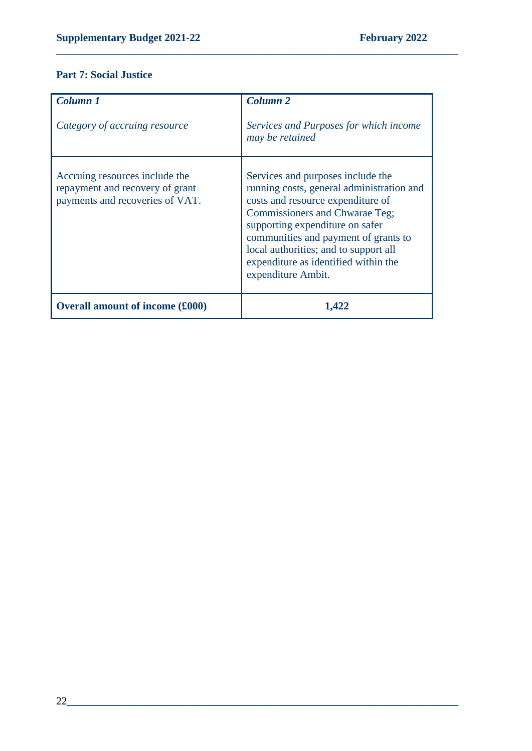### **Part 7: Social Justice**

| Column 1<br>Category of accruing resource                                                            | <b>Column 2</b><br>Services and Purposes for which income<br>may be retained                                                                                                                                                                                                                                                            |
|------------------------------------------------------------------------------------------------------|-----------------------------------------------------------------------------------------------------------------------------------------------------------------------------------------------------------------------------------------------------------------------------------------------------------------------------------------|
| Accruing resources include the<br>repayment and recovery of grant<br>payments and recoveries of VAT. | Services and purposes include the<br>running costs, general administration and<br>costs and resource expenditure of<br>Commissioners and Chwarae Teg;<br>supporting expenditure on safer<br>communities and payment of grants to<br>local authorities; and to support all<br>expenditure as identified within the<br>expenditure Ambit. |
| <b>Overall amount of income (£000)</b>                                                               | 1,422                                                                                                                                                                                                                                                                                                                                   |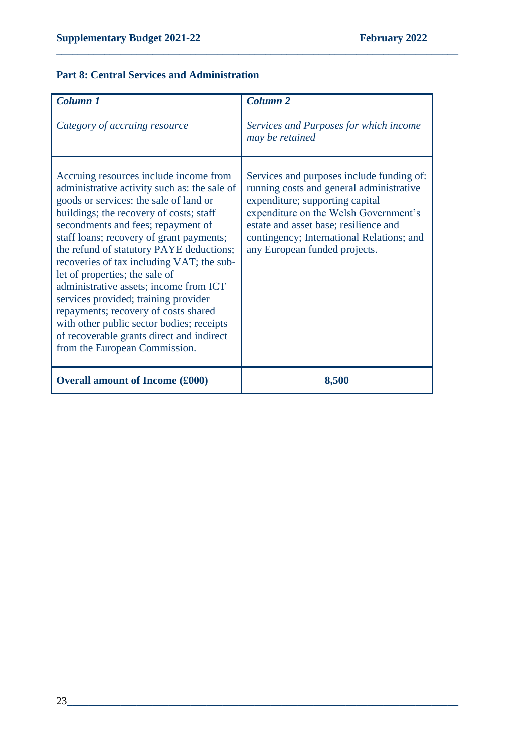### **Part 8: Central Services and Administration**

| Column 1                                                                                                                                                                                                                                                                                                                                                                                                                                                                                                                                                                                                                                      | <b>Column 2</b>                                                                                                                                                                                                                                                                          |
|-----------------------------------------------------------------------------------------------------------------------------------------------------------------------------------------------------------------------------------------------------------------------------------------------------------------------------------------------------------------------------------------------------------------------------------------------------------------------------------------------------------------------------------------------------------------------------------------------------------------------------------------------|------------------------------------------------------------------------------------------------------------------------------------------------------------------------------------------------------------------------------------------------------------------------------------------|
| Category of accruing resource                                                                                                                                                                                                                                                                                                                                                                                                                                                                                                                                                                                                                 | Services and Purposes for which income<br>may be retained                                                                                                                                                                                                                                |
| Accruing resources include income from<br>administrative activity such as: the sale of<br>goods or services: the sale of land or<br>buildings; the recovery of costs; staff<br>secondments and fees; repayment of<br>staff loans; recovery of grant payments;<br>the refund of statutory PAYE deductions;<br>recoveries of tax including VAT; the sub-<br>let of properties; the sale of<br>administrative assets; income from ICT<br>services provided; training provider<br>repayments; recovery of costs shared<br>with other public sector bodies; receipts<br>of recoverable grants direct and indirect<br>from the European Commission. | Services and purposes include funding of:<br>running costs and general administrative<br>expenditure; supporting capital<br>expenditure on the Welsh Government's<br>estate and asset base; resilience and<br>contingency; International Relations; and<br>any European funded projects. |
| <b>Overall amount of Income (£000)</b>                                                                                                                                                                                                                                                                                                                                                                                                                                                                                                                                                                                                        | 8,500                                                                                                                                                                                                                                                                                    |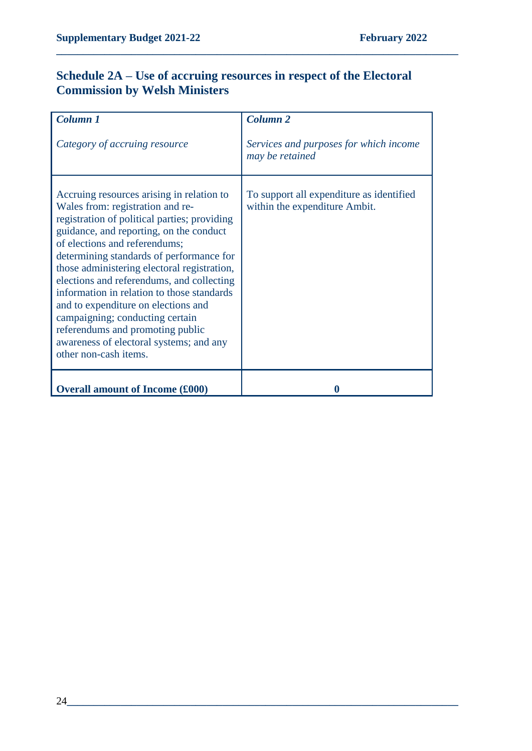# **Schedule 2A – Use of accruing resources in respect of the Electoral Commission by Welsh Ministers**

| Column 1<br>Category of accruing resource                                                                                                                                                                                                                                                                                                                                                                                                                                                                                                                                         | <b>Column 2</b><br>Services and purposes for which income<br>may be retained |
|-----------------------------------------------------------------------------------------------------------------------------------------------------------------------------------------------------------------------------------------------------------------------------------------------------------------------------------------------------------------------------------------------------------------------------------------------------------------------------------------------------------------------------------------------------------------------------------|------------------------------------------------------------------------------|
| Accruing resources arising in relation to<br>Wales from: registration and re-<br>registration of political parties; providing<br>guidance, and reporting, on the conduct<br>of elections and referendums;<br>determining standards of performance for<br>those administering electoral registration,<br>elections and referendums, and collecting<br>information in relation to those standards<br>and to expenditure on elections and<br>campaigning; conducting certain<br>referendums and promoting public<br>awareness of electoral systems; and any<br>other non-cash items. | To support all expenditure as identified<br>within the expenditure Ambit.    |
| <b>Overall amount of Income (£000)</b>                                                                                                                                                                                                                                                                                                                                                                                                                                                                                                                                            | O                                                                            |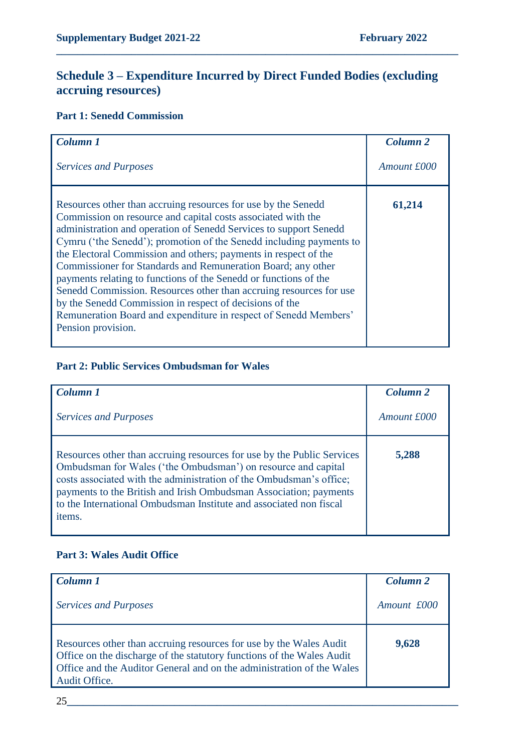# **Schedule 3 – Expenditure Incurred by Direct Funded Bodies (excluding accruing resources)**

**\_\_\_\_\_\_\_\_\_\_\_\_\_\_\_\_\_\_\_\_\_\_\_\_\_\_\_\_\_\_\_\_\_\_\_\_\_\_\_\_\_\_\_\_\_\_\_\_\_\_\_\_\_\_\_\_\_\_\_\_\_\_\_\_\_\_\_\_\_\_\_\_\_\_\_**

## **Part 1: Senedd Commission**

| Column 1                                                                                                                                                                                                                                                                                                                                                                                                                                                                                                                                                                                                                                                                                                    | <b>Column 2</b> |
|-------------------------------------------------------------------------------------------------------------------------------------------------------------------------------------------------------------------------------------------------------------------------------------------------------------------------------------------------------------------------------------------------------------------------------------------------------------------------------------------------------------------------------------------------------------------------------------------------------------------------------------------------------------------------------------------------------------|-----------------|
| <b>Services and Purposes</b>                                                                                                                                                                                                                                                                                                                                                                                                                                                                                                                                                                                                                                                                                | Amount £000     |
| Resources other than accruing resources for use by the Senedd<br>Commission on resource and capital costs associated with the<br>administration and operation of Senedd Services to support Senedd<br>Cymru ('the Senedd'); promotion of the Senedd including payments to<br>the Electoral Commission and others; payments in respect of the<br>Commissioner for Standards and Remuneration Board; any other<br>payments relating to functions of the Senedd or functions of the<br>Senedd Commission. Resources other than accruing resources for use<br>by the Senedd Commission in respect of decisions of the<br>Remuneration Board and expenditure in respect of Senedd Members'<br>Pension provision. | 61,214          |

#### **Part 2: Public Services Ombudsman for Wales**

| Column 1                                                                                                                                                                                                                                                                                                                                                            | Column <sub>2</sub> |
|---------------------------------------------------------------------------------------------------------------------------------------------------------------------------------------------------------------------------------------------------------------------------------------------------------------------------------------------------------------------|---------------------|
| <b>Services and Purposes</b>                                                                                                                                                                                                                                                                                                                                        | Amount £000         |
| Resources other than accruing resources for use by the Public Services<br>Ombudsman for Wales ('the Ombudsman') on resource and capital<br>costs associated with the administration of the Ombudsman's office;<br>payments to the British and Irish Ombudsman Association; payments<br>to the International Ombudsman Institute and associated non fiscal<br>items. | 5,288               |

#### **Part 3: Wales Audit Office**

| Column 1                                                                                                                                                                                                                              | Column <sub>2</sub> |
|---------------------------------------------------------------------------------------------------------------------------------------------------------------------------------------------------------------------------------------|---------------------|
| <b>Services and Purposes</b>                                                                                                                                                                                                          | Amount £000         |
| Resources other than accruing resources for use by the Wales Audit<br>Office on the discharge of the statutory functions of the Wales Audit<br>Office and the Auditor General and on the administration of the Wales<br>Audit Office. | 9,628               |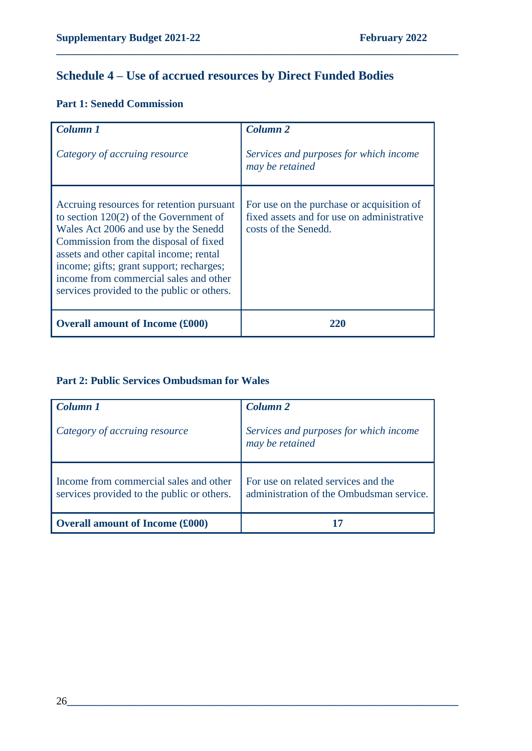# **Schedule 4 – Use of accrued resources by Direct Funded Bodies**

**\_\_\_\_\_\_\_\_\_\_\_\_\_\_\_\_\_\_\_\_\_\_\_\_\_\_\_\_\_\_\_\_\_\_\_\_\_\_\_\_\_\_\_\_\_\_\_\_\_\_\_\_\_\_\_\_\_\_\_\_\_\_\_\_\_\_\_\_\_\_\_\_\_\_\_**

## **Part 1: Senedd Commission**

| Column 1<br>Category of accruing resource                                                                                                                                                                                                                                                                                                             | <b>Column 2</b><br>Services and purposes for which income<br>may be retained                                    |
|-------------------------------------------------------------------------------------------------------------------------------------------------------------------------------------------------------------------------------------------------------------------------------------------------------------------------------------------------------|-----------------------------------------------------------------------------------------------------------------|
| Accruing resources for retention pursuant<br>to section $120(2)$ of the Government of<br>Wales Act 2006 and use by the Senedd<br>Commission from the disposal of fixed<br>assets and other capital income; rental<br>income; gifts; grant support; recharges;<br>income from commercial sales and other<br>services provided to the public or others. | For use on the purchase or acquisition of<br>fixed assets and for use on administrative<br>costs of the Senedd. |
| <b>Overall amount of Income (£000)</b>                                                                                                                                                                                                                                                                                                                | 220                                                                                                             |

### **Part 2: Public Services Ombudsman for Wales**

| Column 1                                                                             | Column <sub>2</sub>                                                             |
|--------------------------------------------------------------------------------------|---------------------------------------------------------------------------------|
| Category of accruing resource                                                        | Services and purposes for which income<br>may be retained                       |
| Income from commercial sales and other<br>services provided to the public or others. | For use on related services and the<br>administration of the Ombudsman service. |
| <b>Overall amount of Income (£000)</b>                                               |                                                                                 |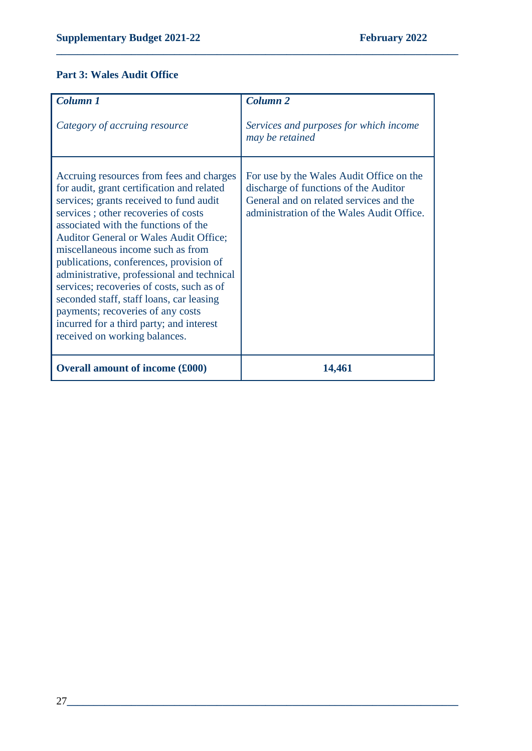## **Part 3: Wales Audit Office**

| Column 1                                                                                                                                                                                                                                                                                                                                                                                                                                                                                                                                                                                                   | <b>Column 2</b>                                                                                                                                                           |
|------------------------------------------------------------------------------------------------------------------------------------------------------------------------------------------------------------------------------------------------------------------------------------------------------------------------------------------------------------------------------------------------------------------------------------------------------------------------------------------------------------------------------------------------------------------------------------------------------------|---------------------------------------------------------------------------------------------------------------------------------------------------------------------------|
| Category of accruing resource                                                                                                                                                                                                                                                                                                                                                                                                                                                                                                                                                                              | Services and purposes for which income<br>may be retained                                                                                                                 |
| Accruing resources from fees and charges<br>for audit, grant certification and related<br>services; grants received to fund audit<br>services; other recoveries of costs<br>associated with the functions of the<br><b>Auditor General or Wales Audit Office;</b><br>miscellaneous income such as from<br>publications, conferences, provision of<br>administrative, professional and technical<br>services; recoveries of costs, such as of<br>seconded staff, staff loans, car leasing<br>payments; recoveries of any costs<br>incurred for a third party; and interest<br>received on working balances. | For use by the Wales Audit Office on the<br>discharge of functions of the Auditor<br>General and on related services and the<br>administration of the Wales Audit Office. |
| <b>Overall amount of income (£000)</b>                                                                                                                                                                                                                                                                                                                                                                                                                                                                                                                                                                     | 14,461                                                                                                                                                                    |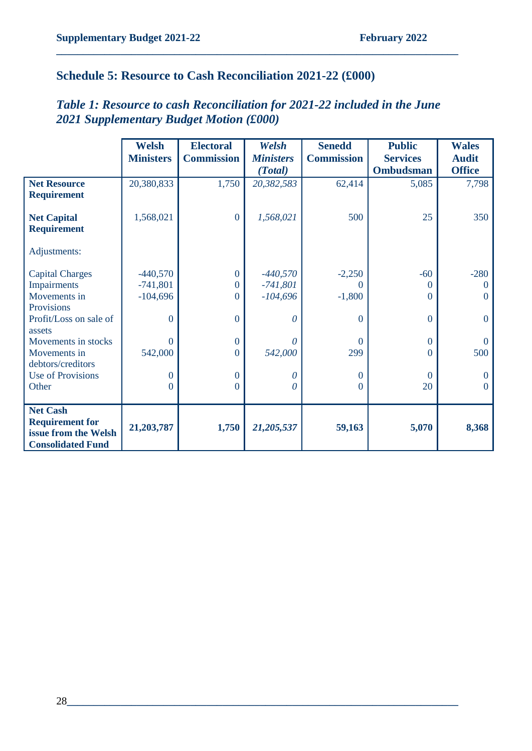# **Schedule 5: Resource to Cash Reconciliation 2021-22 (£000)**

|                          | <b>Welsh</b>     | <b>Electoral</b>  | Welsh            | <b>Senedd</b>     | <b>Public</b>    | <b>Wales</b>   |
|--------------------------|------------------|-------------------|------------------|-------------------|------------------|----------------|
|                          | <b>Ministers</b> | <b>Commission</b> | <b>Ministers</b> | <b>Commission</b> | <b>Services</b>  | <b>Audit</b>   |
|                          |                  |                   | (Total)          |                   | <b>Ombudsman</b> | <b>Office</b>  |
| <b>Net Resource</b>      | 20,380,833       | 1,750             | 20,382,583       | 62,414            | 5,085            | 7,798          |
| <b>Requirement</b>       |                  |                   |                  |                   |                  |                |
| <b>Net Capital</b>       | 1,568,021        | $\mathbf{0}$      | 1,568,021        | 500               | 25               | 350            |
| <b>Requirement</b>       |                  |                   |                  |                   |                  |                |
| Adjustments:             |                  |                   |                  |                   |                  |                |
| <b>Capital Charges</b>   | $-440,570$       | $\boldsymbol{0}$  | $-440,570$       | $-2,250$          | $-60$            | $-280$         |
| Impairments              | $-741,801$       | 0                 | $-741,801$       | 0                 | $\theta$         | $\Omega$       |
| Movements in             | $-104,696$       | $\theta$          | $-104,696$       | $-1,800$          | $\Omega$         | $\mathbf{0}$   |
| Provisions               |                  |                   |                  |                   |                  |                |
| Profit/Loss on sale of   | $\theta$         | $\overline{0}$    | $\theta$         | $\theta$          | $\theta$         | $\overline{0}$ |
| assets                   |                  |                   |                  |                   |                  |                |
| Movements in stocks      | $\theta$         | $\overline{0}$    | 0                | $\Omega$          | $\theta$         | $\mathbf{0}$   |
| Movements in             | 542,000          | $\theta$          | 542,000          | 299               | $\theta$         | 500            |
| debtors/creditors        |                  |                   |                  |                   |                  |                |
| <b>Use of Provisions</b> | $\Omega$         | $\overline{0}$    | 0                | $\Omega$          | $\Omega$         | $\overline{0}$ |
| Other                    | 0                | $\overline{0}$    | $\theta$         | $\theta$          | 20               | $\theta$       |
|                          |                  |                   |                  |                   |                  |                |
| <b>Net Cash</b>          |                  |                   |                  |                   |                  |                |
| <b>Requirement for</b>   |                  |                   |                  |                   |                  |                |
| issue from the Welsh     | 21,203,787       | 1,750             | 21,205,537       | 59,163            | 5,070            | 8,368          |
| <b>Consolidated Fund</b> |                  |                   |                  |                   |                  |                |

# *Table 1: Resource to cash Reconciliation for 2021-22 included in the June 2021 Supplementary Budget Motion (£000)*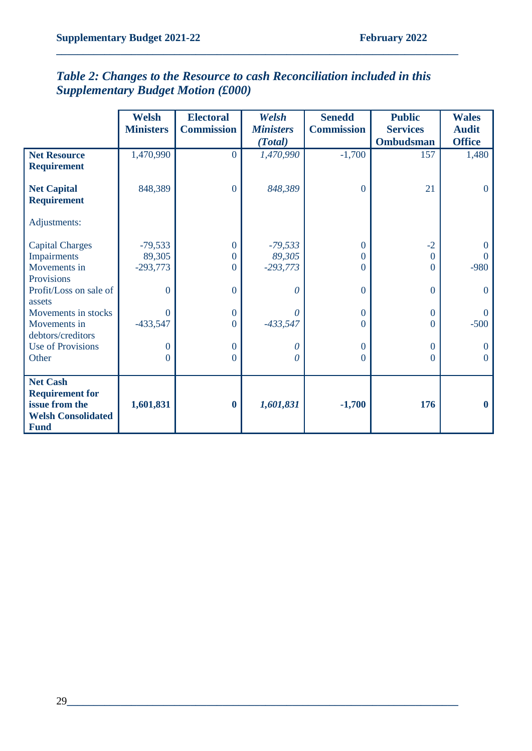|                                                                                                         | <b>Welsh</b><br><b>Ministers</b> | <b>Electoral</b><br><b>Commission</b> | Welsh<br><b>Ministers</b> | <b>Senedd</b><br><b>Commission</b> | <b>Public</b><br><b>Services</b> | <b>Wales</b><br><b>Audit</b> |
|---------------------------------------------------------------------------------------------------------|----------------------------------|---------------------------------------|---------------------------|------------------------------------|----------------------------------|------------------------------|
|                                                                                                         |                                  |                                       | (Total)                   |                                    | <b>Ombudsman</b>                 | <b>Office</b>                |
| <b>Net Resource</b><br><b>Requirement</b>                                                               | 1,470,990                        | $\Omega$                              | 1,470,990                 | $-1,700$                           | 157                              | 1,480                        |
| <b>Net Capital</b><br><b>Requirement</b>                                                                | 848,389                          | $\mathbf{0}$                          | 848,389                   | $\overline{0}$                     | 21                               | $\mathbf{0}$                 |
| Adjustments:                                                                                            |                                  |                                       |                           |                                    |                                  |                              |
| <b>Capital Charges</b>                                                                                  | $-79,533$                        | $\overline{0}$                        | $-79,533$                 | $\boldsymbol{0}$                   | $-2$                             | $\mathbf{0}$                 |
| Impairments                                                                                             | 89,305                           | $\Omega$                              | 89,305                    | $\boldsymbol{0}$                   | $\overline{0}$                   | $\theta$                     |
| Movements in                                                                                            | $-293,773$                       | $\Omega$                              | $-293,773$                | $\theta$                           | $\Omega$                         | $-980$                       |
| Provisions                                                                                              |                                  |                                       |                           |                                    |                                  |                              |
| Profit/Loss on sale of<br>assets                                                                        | $\theta$                         | $\theta$                              | 0                         | $\mathbf{0}$                       | $\overline{0}$                   | $\mathbf{0}$                 |
| Movements in stocks                                                                                     | $\Omega$                         | $\Omega$                              | 0                         | $\mathbf{0}$                       | $\Omega$                         | $\theta$                     |
| Movements in                                                                                            | -433,547                         | $\overline{0}$                        | $-433,547$                | $\boldsymbol{0}$                   | $\overline{0}$                   | $-500$                       |
| debtors/creditors                                                                                       |                                  |                                       |                           |                                    |                                  |                              |
| <b>Use of Provisions</b>                                                                                | $\theta$                         | $\mathbf{0}$                          | 0                         | $\overline{0}$                     | $\overline{0}$                   | $\mathbf{0}$                 |
| Other                                                                                                   | 0                                | $\theta$                              | 0                         | $\overline{0}$                     | $\overline{0}$                   | $\overline{0}$               |
|                                                                                                         |                                  |                                       |                           |                                    |                                  |                              |
| <b>Net Cash</b><br><b>Requirement for</b><br>issue from the<br><b>Welsh Consolidated</b><br><b>Fund</b> | 1,601,831                        | $\boldsymbol{0}$                      | 1,601,831                 | $-1,700$                           | 176                              | $\bf{0}$                     |

# *Table 2: Changes to the Resource to cash Reconciliation included in this Supplementary Budget Motion (£000)*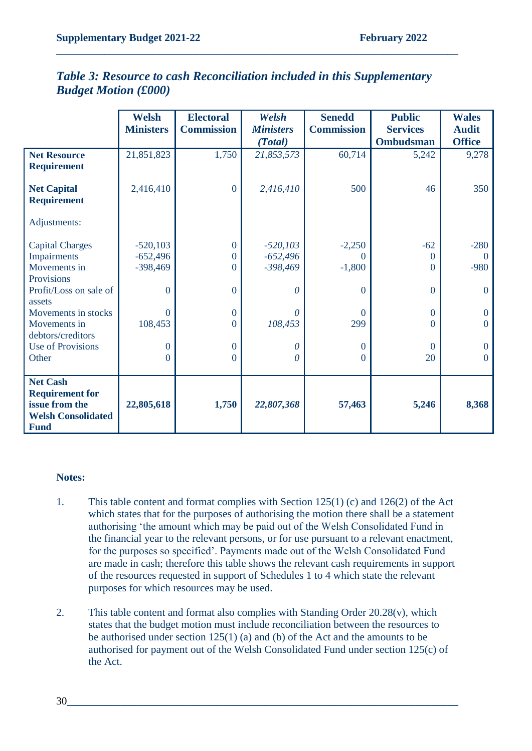|                                                                                                         | <b>Welsh</b>     | <b>Electoral</b>  | Welsh            | <b>Senedd</b>     | <b>Public</b>    | <b>Wales</b>   |
|---------------------------------------------------------------------------------------------------------|------------------|-------------------|------------------|-------------------|------------------|----------------|
|                                                                                                         | <b>Ministers</b> | <b>Commission</b> | <b>Ministers</b> | <b>Commission</b> | <b>Services</b>  | <b>Audit</b>   |
|                                                                                                         |                  |                   | (Total)          |                   | <b>Ombudsman</b> | <b>Office</b>  |
| <b>Net Resource</b><br><b>Requirement</b>                                                               | 21,851,823       | 1,750             | 21,853,573       | 60,714            | 5,242            | 9,278          |
| <b>Net Capital</b><br><b>Requirement</b>                                                                | 2,416,410        | $\mathbf{0}$      | 2,416,410        | 500               | 46               | 350            |
| Adjustments:                                                                                            |                  |                   |                  |                   |                  |                |
| <b>Capital Charges</b>                                                                                  | $-520,103$       | $\theta$          | $-520,103$       | $-2,250$          | $-62$            | $-280$         |
| Impairments                                                                                             | $-652,496$       | $\Omega$          | $-652,496$       | $\Omega$          | $\Omega$         | $\Omega$       |
| Movements in                                                                                            | $-398,469$       | $\Omega$          | $-398,469$       | $-1,800$          | $\Omega$         | $-980$         |
| Provisions                                                                                              |                  |                   |                  |                   |                  |                |
| Profit/Loss on sale of<br>assets                                                                        | $\theta$         | $\overline{0}$    | $\theta$         | $\boldsymbol{0}$  | $\overline{0}$   | $\mathbf{0}$   |
| Movements in stocks                                                                                     | $\Omega$         | $\overline{0}$    | $\theta$         | $\Omega$          | $\overline{0}$   | $\overline{0}$ |
| Movements in                                                                                            | 108,453          | $\theta$          | 108,453          | 299               | $\Omega$         | $\mathbf{0}$   |
| debtors/creditors<br><b>Use of Provisions</b>                                                           | $\overline{0}$   | $\mathbf{0}$      | 0                | $\mathbf{0}$      | $\Omega$         | $\overline{0}$ |
| Other                                                                                                   | $\theta$         | $\theta$          | 0                | $\boldsymbol{0}$  | 20               | $\mathbf{0}$   |
|                                                                                                         |                  |                   |                  |                   |                  |                |
| <b>Net Cash</b><br><b>Requirement for</b><br>issue from the<br><b>Welsh Consolidated</b><br><b>Fund</b> | 22,805,618       | 1,750             | 22,807,368       | 57,463            | 5,246            | 8,368          |

## *Table 3: Resource to cash Reconciliation included in this Supplementary Budget Motion (£000)*

**\_\_\_\_\_\_\_\_\_\_\_\_\_\_\_\_\_\_\_\_\_\_\_\_\_\_\_\_\_\_\_\_\_\_\_\_\_\_\_\_\_\_\_\_\_\_\_\_\_\_\_\_\_\_\_\_\_\_\_\_\_\_\_\_\_\_\_\_\_\_\_\_\_\_\_**

#### **Notes:**

- 1. This table content and format complies with Section 125(1) (c) and 126(2) of the Act which states that for the purposes of authorising the motion there shall be a statement authorising 'the amount which may be paid out of the Welsh Consolidated Fund in the financial year to the relevant persons, or for use pursuant to a relevant enactment, for the purposes so specified'. Payments made out of the Welsh Consolidated Fund are made in cash; therefore this table shows the relevant cash requirements in support of the resources requested in support of Schedules 1 to 4 which state the relevant purposes for which resources may be used.
- 2. This table content and format also complies with Standing Order 20.28(v), which states that the budget motion must include reconciliation between the resources to be authorised under section 125(1) (a) and (b) of the Act and the amounts to be authorised for payment out of the Welsh Consolidated Fund under section 125(c) of the Act.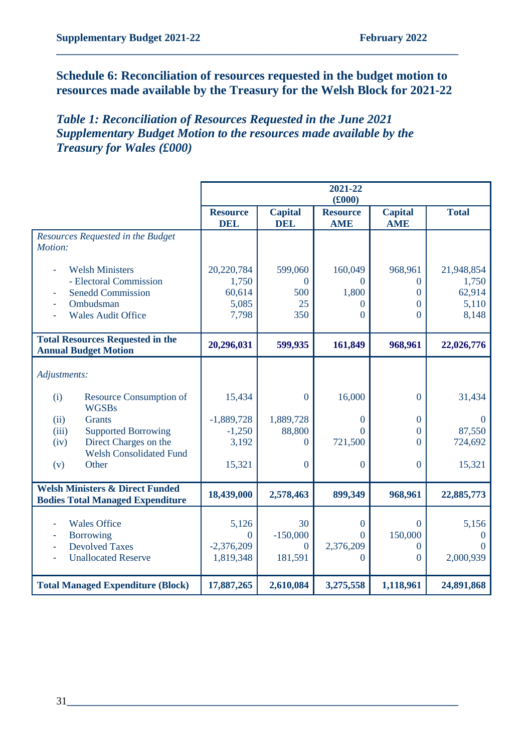## **Schedule 6: Reconciliation of resources requested in the budget motion to resources made available by the Treasury for the Welsh Block for 2021-22**

**\_\_\_\_\_\_\_\_\_\_\_\_\_\_\_\_\_\_\_\_\_\_\_\_\_\_\_\_\_\_\_\_\_\_\_\_\_\_\_\_\_\_\_\_\_\_\_\_\_\_\_\_\_\_\_\_\_\_\_\_\_\_\_\_\_\_\_\_\_\_\_\_\_\_\_**

## *Table 1: Reconciliation of Resources Requested in the June 2021 Supplementary Budget Motion to the resources made available by the Treasury for Wales (£000)*

|                                                                                       |                               |                              | 2021-22<br>(f000)             |                              |              |
|---------------------------------------------------------------------------------------|-------------------------------|------------------------------|-------------------------------|------------------------------|--------------|
|                                                                                       | <b>Resource</b><br><b>DEL</b> | <b>Capital</b><br><b>DEL</b> | <b>Resource</b><br><b>AME</b> | <b>Capital</b><br><b>AME</b> | <b>Total</b> |
| Resources Requested in the Budget<br>Motion:                                          |                               |                              |                               |                              |              |
| <b>Welsh Ministers</b>                                                                | 20,220,784                    | 599,060                      | 160,049                       | 968,961                      | 21,948,854   |
| - Electoral Commission                                                                | 1,750                         | $\Omega$                     | $\Omega$                      | $\overline{0}$               | 1,750        |
| <b>Senedd Commission</b>                                                              | 60,614                        | 500                          | 1,800                         | $\Omega$                     | 62,914       |
| Ombudsman                                                                             | 5,085                         | 25                           | $\Omega$                      | $\Omega$                     | 5,110        |
| <b>Wales Audit Office</b>                                                             | 7,798                         | 350                          | $\overline{0}$                | $\Omega$                     | 8,148        |
| <b>Total Resources Requested in the</b><br><b>Annual Budget Motion</b>                | 20,296,031                    | 599,935                      | 161,849                       | 968,961                      | 22,026,776   |
| Adjustments:                                                                          |                               |                              |                               |                              |              |
| Resource Consumption of<br>(i)<br><b>WGSBs</b>                                        | 15,434                        | $\overline{0}$               | 16,000                        | $\overline{0}$               | 31,434       |
| <b>Grants</b><br>(ii)                                                                 | $-1,889,728$                  | 1,889,728                    | $\Omega$                      | $\mathbf{0}$                 | $\mathbf{0}$ |
| <b>Supported Borrowing</b><br>(iii)                                                   | $-1,250$                      | 88,800                       | $\Omega$                      | $\Omega$                     | 87,550       |
| Direct Charges on the<br>(iv)<br><b>Welsh Consolidated Fund</b>                       | 3,192                         | $\Omega$                     | 721,500                       | $\Omega$                     | 724,692      |
| Other<br>(v)                                                                          | 15,321                        | $\overline{0}$               | $\mathbf{0}$                  | $\overline{0}$               | 15,321       |
| <b>Welsh Ministers &amp; Direct Funded</b><br><b>Bodies Total Managed Expenditure</b> | 18,439,000                    | 2,578,463                    | 899,349                       | 968,961                      | 22,885,773   |
| <b>Wales Office</b>                                                                   | 5,126                         | 30                           | $\mathbf{0}$                  | $\boldsymbol{0}$             | 5,156        |
| <b>Borrowing</b><br>÷,                                                                | $\boldsymbol{0}$              | $-150,000$                   | $\Omega$                      | 150,000                      | $\Omega$     |
| <b>Devolved Taxes</b><br>$\bar{a}$                                                    | $-2,376,209$                  | $\overline{0}$               | 2,376,209                     | 0                            | $\Omega$     |
| <b>Unallocated Reserve</b>                                                            | 1,819,348                     | 181,591                      | $\Omega$                      | $\theta$                     | 2,000,939    |
| <b>Total Managed Expenditure (Block)</b>                                              | 17,887,265                    | 2,610,084                    | 3,275,558                     | 1,118,961                    | 24,891,868   |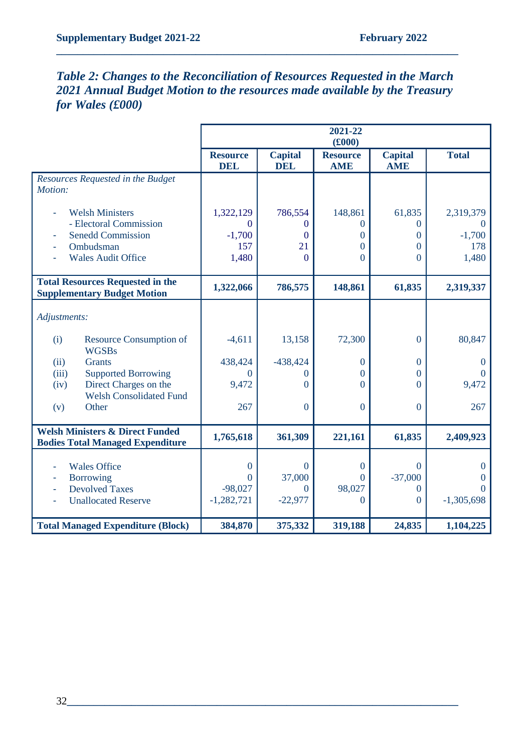# *Table 2: Changes to the Reconciliation of Resources Requested in the March 2021 Annual Budget Motion to the resources made available by the Treasury for Wales (£000)*

|                                                                                       |                               |                              | 2021-22<br>(f000)             |                              |                      |
|---------------------------------------------------------------------------------------|-------------------------------|------------------------------|-------------------------------|------------------------------|----------------------|
|                                                                                       | <b>Resource</b><br><b>DEL</b> | <b>Capital</b><br><b>DEL</b> | <b>Resource</b><br><b>AME</b> | <b>Capital</b><br><b>AME</b> | <b>Total</b>         |
| Resources Requested in the Budget<br>Motion:                                          |                               |                              |                               |                              |                      |
| <b>Welsh Ministers</b>                                                                | 1,322,129                     | 786,554                      | 148,861                       | 61,835                       | 2,319,379            |
| - Electoral Commission                                                                | $\Omega$                      | $\Omega$                     | $\Omega$                      | $\Omega$                     | $\theta$             |
| <b>Senedd Commission</b>                                                              | $-1,700$                      | $\Omega$                     | $\Omega$                      | $\Omega$                     | $-1,700$             |
| Ombudsman                                                                             | 157                           | 21                           | $\theta$                      | $\overline{0}$               | 178                  |
| <b>Wales Audit Office</b>                                                             | 1,480                         | $\theta$                     | $\overline{0}$                | $\Omega$                     | 1,480                |
| <b>Total Resources Requested in the</b><br><b>Supplementary Budget Motion</b>         | 1,322,066                     | 786,575                      | 148,861                       | 61,835                       | 2,319,337            |
| Adjustments:                                                                          |                               |                              |                               |                              |                      |
| Resource Consumption of<br>(i)<br><b>WGSBs</b>                                        | $-4,611$                      | 13,158                       | 72,300                        | $\overline{0}$               | 80,847               |
| <b>Grants</b><br>(ii)                                                                 | 438,424                       | $-438,424$                   | $\theta$                      | $\mathbf{0}$                 | $\theta$             |
| <b>Supported Borrowing</b><br>(iii)                                                   | $\Omega$                      | 0                            | $\overline{0}$                | $\overline{0}$               | $\Omega$             |
| Direct Charges on the<br>(iv)                                                         | 9,472                         | $\theta$                     | $\Omega$                      | $\Omega$                     | 9,472                |
| <b>Welsh Consolidated Fund</b>                                                        |                               |                              |                               |                              |                      |
| Other<br>(v)                                                                          | 267                           | $\boldsymbol{0}$             | $\mathbf{0}$                  | $\mathbf{0}$                 | 267                  |
| <b>Welsh Ministers &amp; Direct Funded</b><br><b>Bodies Total Managed Expenditure</b> | 1,765,618                     | 361,309                      | 221,161                       | 61,835                       | 2,409,923            |
|                                                                                       |                               |                              |                               |                              |                      |
| <b>Wales Office</b>                                                                   | $\overline{0}$                | $\theta$                     | $\mathbf{0}$<br>$\Omega$      | $\theta$                     | $\theta$             |
| <b>Borrowing</b><br><b>Devolved Taxes</b>                                             | $\overline{0}$<br>$-98,027$   | 37,000<br>$\Omega$           | 98,027                        | $-37,000$<br>$\Omega$        | $\Omega$<br>$\Omega$ |
| <b>Unallocated Reserve</b>                                                            | $-1,282,721$                  | $-22,977$                    | $\Omega$                      | $\Omega$                     | $-1,305,698$         |
| <b>Total Managed Expenditure (Block)</b>                                              | 384,870                       | 375,332                      | 319,188                       | 24,835                       | 1,104,225            |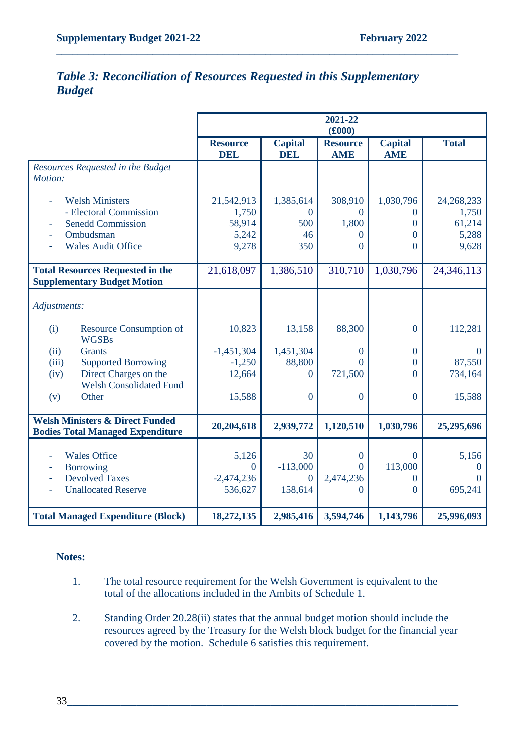## *Table 3: Reconciliation of Resources Requested in this Supplementary Budget*

**\_\_\_\_\_\_\_\_\_\_\_\_\_\_\_\_\_\_\_\_\_\_\_\_\_\_\_\_\_\_\_\_\_\_\_\_\_\_\_\_\_\_\_\_\_\_\_\_\_\_\_\_\_\_\_\_\_\_\_\_\_\_\_\_\_\_\_\_\_\_\_\_\_\_\_**

|                                                                                                      |                                                  |                                         | 2021-22<br>(f000)                       |                                                         |                                                |
|------------------------------------------------------------------------------------------------------|--------------------------------------------------|-----------------------------------------|-----------------------------------------|---------------------------------------------------------|------------------------------------------------|
|                                                                                                      | <b>Resource</b><br><b>DEL</b>                    | <b>Capital</b><br><b>DEL</b>            | <b>Resource</b><br><b>AME</b>           | <b>Capital</b><br><b>AME</b>                            | <b>Total</b>                                   |
| Resources Requested in the Budget<br>Motion:                                                         |                                                  |                                         |                                         |                                                         |                                                |
| <b>Welsh Ministers</b><br>- Electoral Commission<br><b>Senedd Commission</b>                         | 21,542,913<br>1,750<br>58,914                    | 1,385,614<br>0<br>500                   | 308,910<br>$\Omega$<br>1,800            | 1,030,796<br>$\Omega$<br>0                              | 24, 268, 233<br>1,750<br>61,214                |
| Ombudsman<br><b>Wales Audit Office</b>                                                               | 5,242<br>9,278                                   | 46<br>350                               | $\Omega$<br>$\theta$                    | $\theta$<br>$\overline{0}$                              | 5,288<br>9,628                                 |
| <b>Total Resources Requested in the</b><br><b>Supplementary Budget Motion</b>                        | 21,618,097                                       | 1,386,510                               | 310,710                                 | 1,030,796                                               | 24, 346, 113                                   |
| Adjustments:                                                                                         |                                                  |                                         |                                         |                                                         |                                                |
| Resource Consumption of<br>(i)<br><b>WGSBs</b>                                                       | 10,823                                           | 13,158                                  | 88,300                                  | $\overline{0}$                                          | 112,281                                        |
| <b>Grants</b><br>(ii)<br><b>Supported Borrowing</b><br>(iii)<br>Direct Charges on the<br>(iv)        | $-1,451,304$<br>$-1,250$<br>12,664               | 1,451,304<br>88,800<br>$\theta$         | $\overline{0}$<br>$\Omega$<br>721,500   | $\overline{0}$<br>$\overline{0}$<br>$\theta$            | $\theta$<br>87,550<br>734,164                  |
| <b>Welsh Consolidated Fund</b><br>Other<br>(v)                                                       | 15,588                                           | $\mathbf{0}$                            | $\boldsymbol{0}$                        | $\overline{0}$                                          | 15,588                                         |
| <b>Welsh Ministers &amp; Direct Funded</b><br><b>Bodies Total Managed Expenditure</b>                | 20,204,618                                       | 2,939,772                               | 1,120,510                               | 1,030,796                                               | 25,295,696                                     |
| <b>Wales Office</b><br><b>Borrowing</b><br><b>Devolved Taxes</b><br>ä,<br><b>Unallocated Reserve</b> | 5,126<br>$\mathbf{0}$<br>$-2,474,236$<br>536,627 | 30<br>$-113,000$<br>$\theta$<br>158,614 | $\boldsymbol{0}$<br>0<br>2,474,236<br>0 | $\overline{0}$<br>113,000<br>$\overline{0}$<br>$\theta$ | 5,156<br>$\overline{0}$<br>$\theta$<br>695,241 |
| <b>Total Managed Expenditure (Block)</b>                                                             | 18,272,135                                       | 2,985,416                               | 3,594,746                               | 1,143,796                                               | 25,996,093                                     |

#### **Notes:**

- 1. The total resource requirement for the Welsh Government is equivalent to the total of the allocations included in the Ambits of Schedule 1.
- 2. Standing Order 20.28(ii) states that the annual budget motion should include the resources agreed by the Treasury for the Welsh block budget for the financial year covered by the motion. Schedule 6 satisfies this requirement.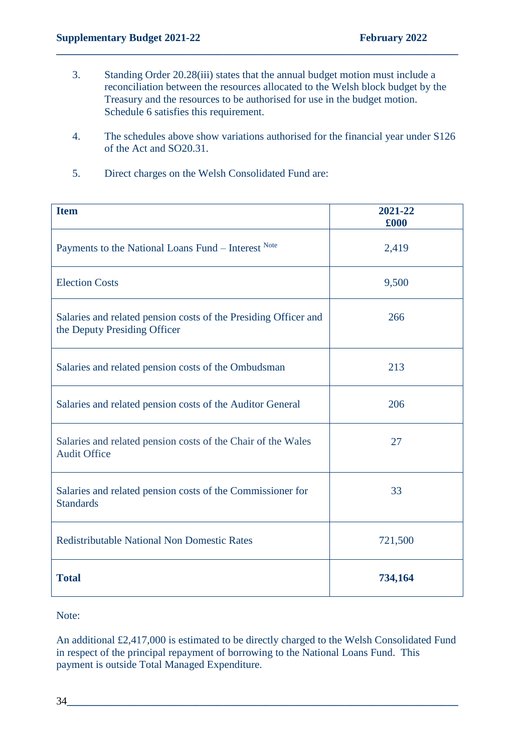3. Standing Order 20.28(iii) states that the annual budget motion must include a reconciliation between the resources allocated to the Welsh block budget by the Treasury and the resources to be authorised for use in the budget motion. Schedule 6 satisfies this requirement.

**\_\_\_\_\_\_\_\_\_\_\_\_\_\_\_\_\_\_\_\_\_\_\_\_\_\_\_\_\_\_\_\_\_\_\_\_\_\_\_\_\_\_\_\_\_\_\_\_\_\_\_\_\_\_\_\_\_\_\_\_\_\_\_\_\_\_\_\_\_\_\_\_\_\_\_**

- 4. The schedules above show variations authorised for the financial year under S126 of the Act and SO20.31.
- 5. Direct charges on the Welsh Consolidated Fund are:

| <b>Item</b>                                                                                     | 2021-22<br>£000 |
|-------------------------------------------------------------------------------------------------|-----------------|
| Payments to the National Loans Fund – Interest Note                                             | 2,419           |
| <b>Election Costs</b>                                                                           | 9,500           |
| Salaries and related pension costs of the Presiding Officer and<br>the Deputy Presiding Officer | 266             |
| Salaries and related pension costs of the Ombudsman                                             | 213             |
| Salaries and related pension costs of the Auditor General                                       | 206             |
| Salaries and related pension costs of the Chair of the Wales<br><b>Audit Office</b>             | 27              |
| Salaries and related pension costs of the Commissioner for<br><b>Standards</b>                  | 33              |
| <b>Redistributable National Non Domestic Rates</b>                                              | 721,500         |
| <b>Total</b>                                                                                    | 734,164         |

Note:

An additional £2,417,000 is estimated to be directly charged to the Welsh Consolidated Fund in respect of the principal repayment of borrowing to the National Loans Fund. This payment is outside Total Managed Expenditure.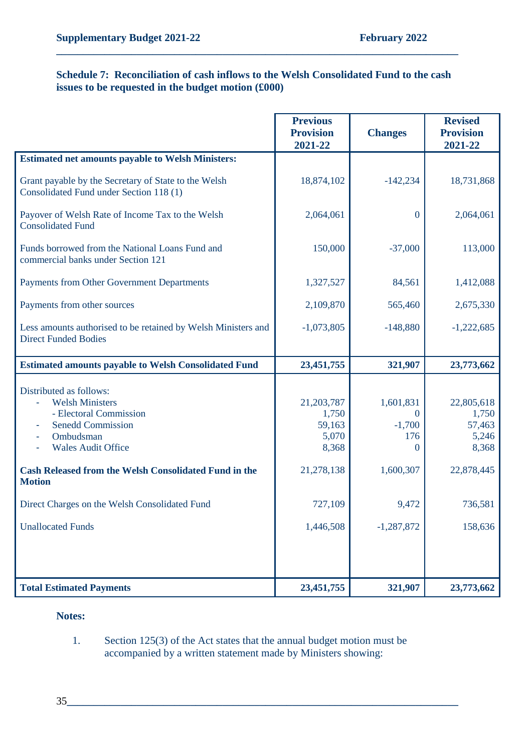#### **Schedule 7: Reconciliation of cash inflows to the Welsh Consolidated Fund to the cash issues to be requested in the budget motion (£000)**

**\_\_\_\_\_\_\_\_\_\_\_\_\_\_\_\_\_\_\_\_\_\_\_\_\_\_\_\_\_\_\_\_\_\_\_\_\_\_\_\_\_\_\_\_\_\_\_\_\_\_\_\_\_\_\_\_\_\_\_\_\_\_\_\_\_\_\_\_\_\_\_\_\_\_\_**

|                                                                                                                                                   | <b>Previous</b><br><b>Provision</b><br>2021-22  | <b>Changes</b>                                       | <b>Revised</b><br><b>Provision</b><br>2021-22   |
|---------------------------------------------------------------------------------------------------------------------------------------------------|-------------------------------------------------|------------------------------------------------------|-------------------------------------------------|
| <b>Estimated net amounts payable to Welsh Ministers:</b>                                                                                          |                                                 |                                                      |                                                 |
| Grant payable by the Secretary of State to the Welsh<br>Consolidated Fund under Section 118 (1)                                                   | 18,874,102                                      | $-142,234$                                           | 18,731,868                                      |
| Payover of Welsh Rate of Income Tax to the Welsh<br><b>Consolidated Fund</b>                                                                      | 2,064,061                                       | $\theta$                                             | 2,064,061                                       |
| Funds borrowed from the National Loans Fund and<br>commercial banks under Section 121                                                             | 150,000                                         | $-37,000$                                            | 113,000                                         |
| Payments from Other Government Departments                                                                                                        | 1,327,527                                       | 84,561                                               | 1,412,088                                       |
| Payments from other sources                                                                                                                       | 2,109,870                                       | 565,460                                              | 2,675,330                                       |
| Less amounts authorised to be retained by Welsh Ministers and<br><b>Direct Funded Bodies</b>                                                      | $-1,073,805$                                    | $-148,880$                                           | $-1,222,685$                                    |
| <b>Estimated amounts payable to Welsh Consolidated Fund</b>                                                                                       | 23,451,755                                      | 321,907                                              | 23,773,662                                      |
| Distributed as follows:<br><b>Welsh Ministers</b><br>- Electoral Commission<br><b>Senedd Commission</b><br>Ombudsman<br><b>Wales Audit Office</b> | 21,203,787<br>1,750<br>59,163<br>5,070<br>8,368 | 1,601,831<br>$\theta$<br>$-1,700$<br>176<br>$\Omega$ | 22,805,618<br>1,750<br>57,463<br>5,246<br>8,368 |
| <b>Cash Released from the Welsh Consolidated Fund in the</b>                                                                                      |                                                 |                                                      |                                                 |
| <b>Motion</b>                                                                                                                                     | 21,278,138                                      | 1,600,307                                            | 22,878,445                                      |
| Direct Charges on the Welsh Consolidated Fund                                                                                                     | 727,109                                         | 9,472                                                | 736,581                                         |
| <b>Unallocated Funds</b>                                                                                                                          | 1,446,508                                       | $-1,287,872$                                         | 158,636                                         |
|                                                                                                                                                   |                                                 |                                                      |                                                 |

#### **Notes:**

#### 1. Section 125(3) of the Act states that the annual budget motion must be accompanied by a written statement made by Ministers showing: